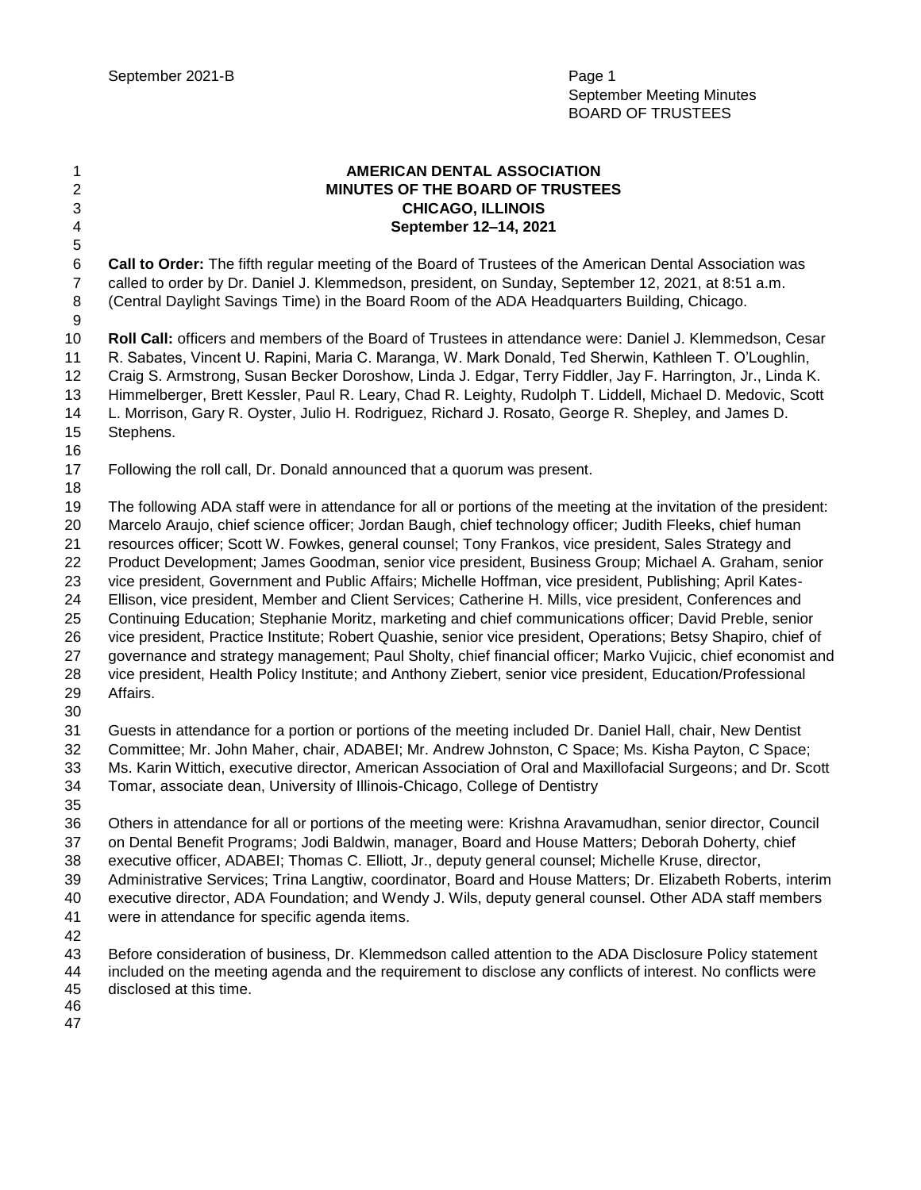**AMERICAN DENTAL ASSOCIATION MINUTES OF THE BOARD OF TRUSTEES CHICAGO, ILLINOIS September 12–14, 2021 Call to Order:** The fifth regular meeting of the Board of Trustees of the American Dental Association was called to order by Dr. Daniel J. Klemmedson, president, on Sunday, September 12, 2021, at 8:51 a.m. (Central Daylight Savings Time) in the Board Room of the ADA Headquarters Building, Chicago. **Roll Call:** officers and members of the Board of Trustees in attendance were: Daniel J. Klemmedson, Cesar R. Sabates, Vincent U. Rapini, Maria C. Maranga, W. Mark Donald, Ted Sherwin, Kathleen T. O'Loughlin, Craig S. Armstrong, Susan Becker Doroshow, Linda J. Edgar, Terry Fiddler, Jay F. Harrington, Jr., Linda K. Himmelberger, Brett Kessler, Paul R. Leary, Chad R. Leighty, Rudolph T. Liddell, Michael D. Medovic, Scott L. Morrison, Gary R. Oyster, Julio H. Rodriguez, Richard J. Rosato, George R. Shepley, and James D. Stephens. Following the roll call, Dr. Donald announced that a quorum was present. The following ADA staff were in attendance for all or portions of the meeting at the invitation of the president: Marcelo Araujo, chief science officer; Jordan Baugh, chief technology officer; Judith Fleeks, chief human resources officer; Scott W. Fowkes, general counsel; Tony Frankos, vice president, Sales Strategy and Product Development; James Goodman, senior vice president, Business Group; Michael A. Graham, senior vice president, Government and Public Affairs; Michelle Hoffman, vice president, Publishing; April Kates- Ellison, vice president, Member and Client Services; Catherine H. Mills, vice president, Conferences and Continuing Education; Stephanie Moritz, marketing and chief communications officer; David Preble, senior vice president, Practice Institute; Robert Quashie, senior vice president, Operations; Betsy Shapiro, chief of governance and strategy management; Paul Sholty, chief financial officer; Marko Vujicic, chief economist and vice president, Health Policy Institute; and Anthony Ziebert, senior vice president, Education/Professional Affairs. Guests in attendance for a portion or portions of the meeting included Dr. Daniel Hall, chair, New Dentist Committee; Mr. John Maher, chair, ADABEI; Mr. Andrew Johnston, C Space; Ms. Kisha Payton, C Space; Ms. Karin Wittich, executive director, American Association of Oral and Maxillofacial Surgeons; and Dr. Scott Tomar, associate dean, University of Illinois-Chicago, College of Dentistry Others in attendance for all or portions of the meeting were: Krishna Aravamudhan, senior director, Council on Dental Benefit Programs; Jodi Baldwin, manager, Board and House Matters; Deborah Doherty, chief executive officer, ADABEI; Thomas C. Elliott, Jr., deputy general counsel; Michelle Kruse, director, Administrative Services; Trina Langtiw, coordinator, Board and House Matters; Dr. Elizabeth Roberts, interim executive director, ADA Foundation; and Wendy J. Wils, deputy general counsel. Other ADA staff members were in attendance for specific agenda items. Before consideration of business, Dr. Klemmedson called attention to the ADA Disclosure Policy statement included on the meeting agenda and the requirement to disclose any conflicts of interest. No conflicts were disclosed at this time.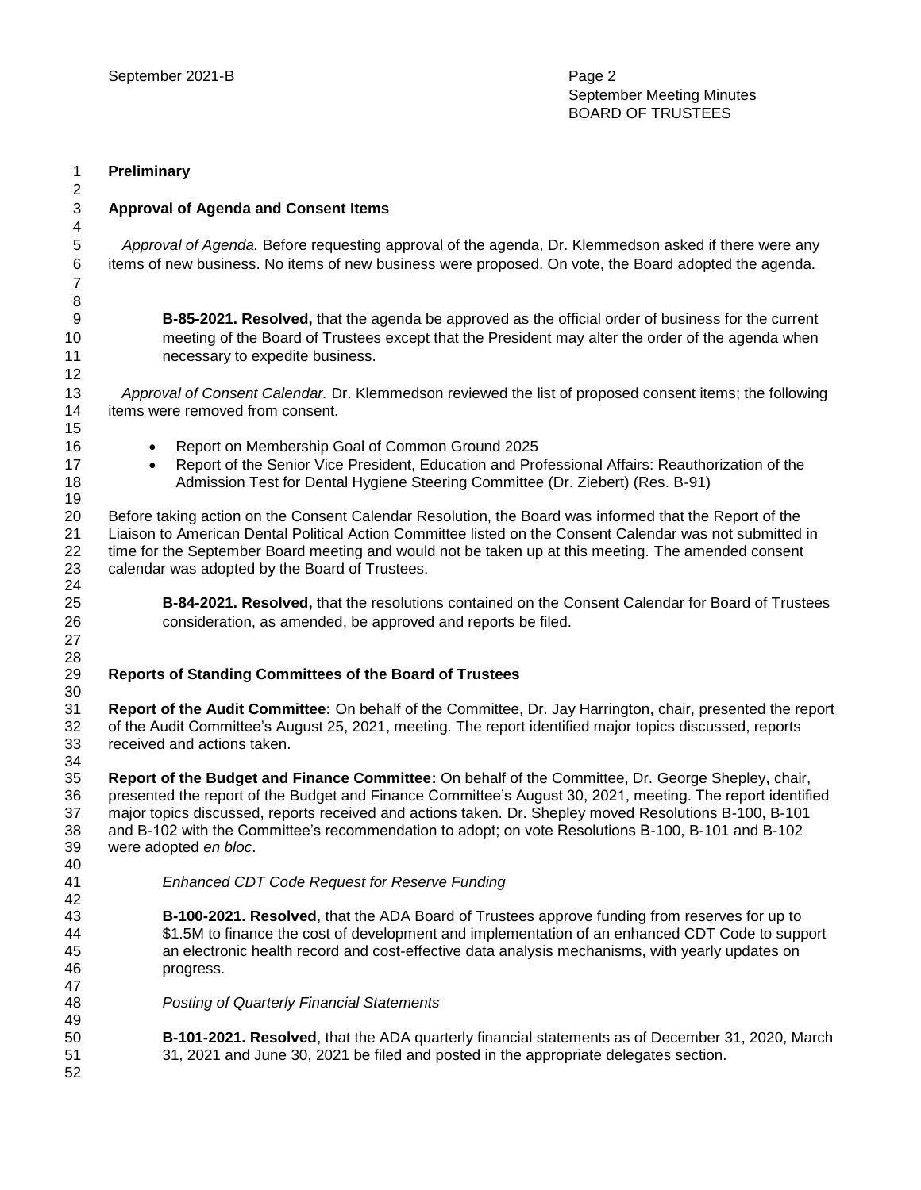| $\mathbf{1}$                       | Preliminary                                                                                                                                                                                                   |
|------------------------------------|---------------------------------------------------------------------------------------------------------------------------------------------------------------------------------------------------------------|
| $\overline{c}$                     |                                                                                                                                                                                                               |
| $\mathsf 3$                        | <b>Approval of Agenda and Consent Items</b>                                                                                                                                                                   |
| $\overline{\mathbf{4}}$            |                                                                                                                                                                                                               |
| $\mathbf 5$<br>6<br>$\overline{7}$ | Approval of Agenda. Before requesting approval of the agenda, Dr. Klemmedson asked if there were any<br>items of new business. No items of new business were proposed. On vote, the Board adopted the agenda. |
| 8                                  |                                                                                                                                                                                                               |
| 9                                  | <b>B-85-2021. Resolved,</b> that the agenda be approved as the official order of business for the current                                                                                                     |
| 10                                 | meeting of the Board of Trustees except that the President may alter the order of the agenda when                                                                                                             |
| 11                                 | necessary to expedite business.                                                                                                                                                                               |
| 12                                 |                                                                                                                                                                                                               |
| 13                                 | Approval of Consent Calendar. Dr. Klemmedson reviewed the list of proposed consent items; the following                                                                                                       |
| 14                                 | items were removed from consent.                                                                                                                                                                              |
| 15                                 |                                                                                                                                                                                                               |
| 16                                 | Report on Membership Goal of Common Ground 2025<br>$\bullet$                                                                                                                                                  |
| 17                                 | Report of the Senior Vice President, Education and Professional Affairs: Reauthorization of the<br>$\bullet$                                                                                                  |
| 18<br>19                           | Admission Test for Dental Hygiene Steering Committee (Dr. Ziebert) (Res. B-91)                                                                                                                                |
| 20                                 | Before taking action on the Consent Calendar Resolution, the Board was informed that the Report of the                                                                                                        |
| 21                                 | Liaison to American Dental Political Action Committee listed on the Consent Calendar was not submitted in                                                                                                     |
| 22                                 | time for the September Board meeting and would not be taken up at this meeting. The amended consent                                                                                                           |
| 23                                 | calendar was adopted by the Board of Trustees.                                                                                                                                                                |
| 24<br>25                           |                                                                                                                                                                                                               |
| 26                                 | B-84-2021. Resolved, that the resolutions contained on the Consent Calendar for Board of Trustees<br>consideration, as amended, be approved and reports be filed.                                             |
| 27                                 |                                                                                                                                                                                                               |
| 28                                 |                                                                                                                                                                                                               |
| 29                                 | Reports of Standing Committees of the Board of Trustees                                                                                                                                                       |
| 30                                 |                                                                                                                                                                                                               |
| 31                                 | Report of the Audit Committee: On behalf of the Committee, Dr. Jay Harrington, chair, presented the report                                                                                                    |
| 32                                 | of the Audit Committee's August 25, 2021, meeting. The report identified major topics discussed, reports                                                                                                      |
| 33                                 | received and actions taken.                                                                                                                                                                                   |
| 34<br>35                           | Report of the Budget and Finance Committee: On behalf of the Committee, Dr. George Shepley, chair,                                                                                                            |
| 36                                 | presented the report of the Budget and Finance Committee's August 30, 2021, meeting. The report identified                                                                                                    |
| 37                                 | major topics discussed, reports received and actions taken. Dr. Shepley moved Resolutions B-100, B-101                                                                                                        |
| 38                                 | and B-102 with the Committee's recommendation to adopt; on vote Resolutions B-100, B-101 and B-102                                                                                                            |
| 39                                 | were adopted en bloc.                                                                                                                                                                                         |
| 40                                 |                                                                                                                                                                                                               |
| 41                                 | <b>Enhanced CDT Code Request for Reserve Funding</b>                                                                                                                                                          |
| 42                                 |                                                                                                                                                                                                               |
| 43                                 | B-100-2021. Resolved, that the ADA Board of Trustees approve funding from reserves for up to                                                                                                                  |
| 44<br>45                           | \$1.5M to finance the cost of development and implementation of an enhanced CDT Code to support<br>an electronic health record and cost-effective data analysis mechanisms, with yearly updates on            |
| 46                                 | progress.                                                                                                                                                                                                     |
| 47                                 |                                                                                                                                                                                                               |
| 48                                 | <b>Posting of Quarterly Financial Statements</b>                                                                                                                                                              |
| 49                                 |                                                                                                                                                                                                               |
| 50                                 | <b>B-101-2021. Resolved</b> , that the ADA quarterly financial statements as of December 31, 2020, March                                                                                                      |
| 51                                 | 31, 2021 and June 30, 2021 be filed and posted in the appropriate delegates section.                                                                                                                          |
| 52                                 |                                                                                                                                                                                                               |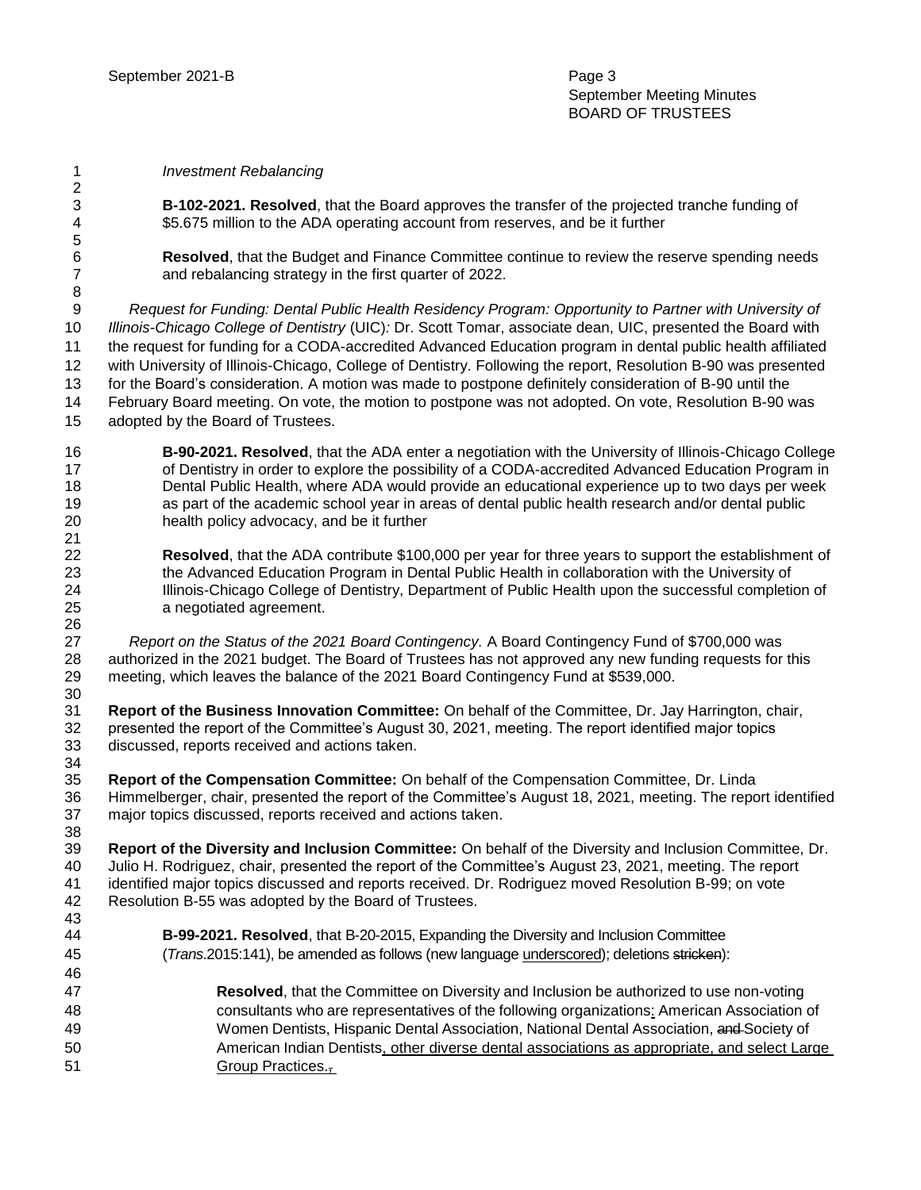- *Investment Rebalancing*
- 

 **B-102-2021. Resolved**, that the Board approves the transfer of the projected tranche funding of \$5.675 million to the ADA operating account from reserves, and be it further

 **Resolved**, that the Budget and Finance Committee continue to review the reserve spending needs and rebalancing strategy in the first quarter of 2022.

 *Request for Funding: Dental Public Health Residency Program: Opportunity to Partner with University of Illinois-Chicago College of Dentistry* (UIC)*:* Dr. Scott Tomar, associate dean, UIC, presented the Board with the request for funding for a CODA-accredited Advanced Education program in dental public health affiliated with University of Illinois-Chicago, College of Dentistry. Following the report, Resolution B-90 was presented for the Board's consideration. A motion was made to postpone definitely consideration of B-90 until the February Board meeting. On vote, the motion to postpone was not adopted. On vote, Resolution B-90 was adopted by the Board of Trustees.

- **B-90-2021. Resolved**, that the ADA enter a negotiation with the University of Illinois-Chicago College 17 of Dentistry in order to explore the possibility of a CODA-accredited Advanced Education Program in Dental Public Health, where ADA would provide an educational experience up to two days per week as part of the academic school year in areas of dental public health research and/or dental public health policy advocacy, and be it further
- **Resolved**, that the ADA contribute \$100,000 per year for three years to support the establishment of the Advanced Education Program in Dental Public Health in collaboration with the University of Illinois-Chicago College of Dentistry, Department of Public Health upon the successful completion of a negotiated agreement.

  *Report on the Status of the 2021 Board Contingency.* A Board Contingency Fund of \$700,000 was authorized in the 2021 budget. The Board of Trustees has not approved any new funding requests for this meeting, which leaves the balance of the 2021 Board Contingency Fund at \$539,000. 

 **Report of the Business Innovation Committee:** On behalf of the Committee, Dr. Jay Harrington, chair, presented the report of the Committee's August 30, 2021, meeting. The report identified major topics discussed, reports received and actions taken. 

 **Report of the Compensation Committee:** On behalf of the Compensation Committee, Dr. Linda Himmelberger, chair, presented the report of the Committee's August 18, 2021, meeting. The report identified major topics discussed, reports received and actions taken.

 **Report of the Diversity and Inclusion Committee:** On behalf of the Diversity and Inclusion Committee, Dr. Julio H. Rodriguez, chair, presented the report of the Committee's August 23, 2021, meeting. The report identified major topics discussed and reports received. Dr. Rodriguez moved Resolution B-99; on vote Resolution B-55 was adopted by the Board of Trustees.

- **B-99-2021. Resolved**, that B-20-2015, Expanding the Diversity and Inclusion Committee (*Trans*.2015:141), be amended as follows (new language underscored); deletions stricken):
- **Resolved**, that the Committee on Diversity and Inclusion be authorized to use non-voting consultants who are representatives of the following organizations: American Association of 49 Women Dentists, Hispanic Dental Association, National Dental Association, and Society of American Indian Dentists, other diverse dental associations as appropriate, and select Large **Group Practices.**,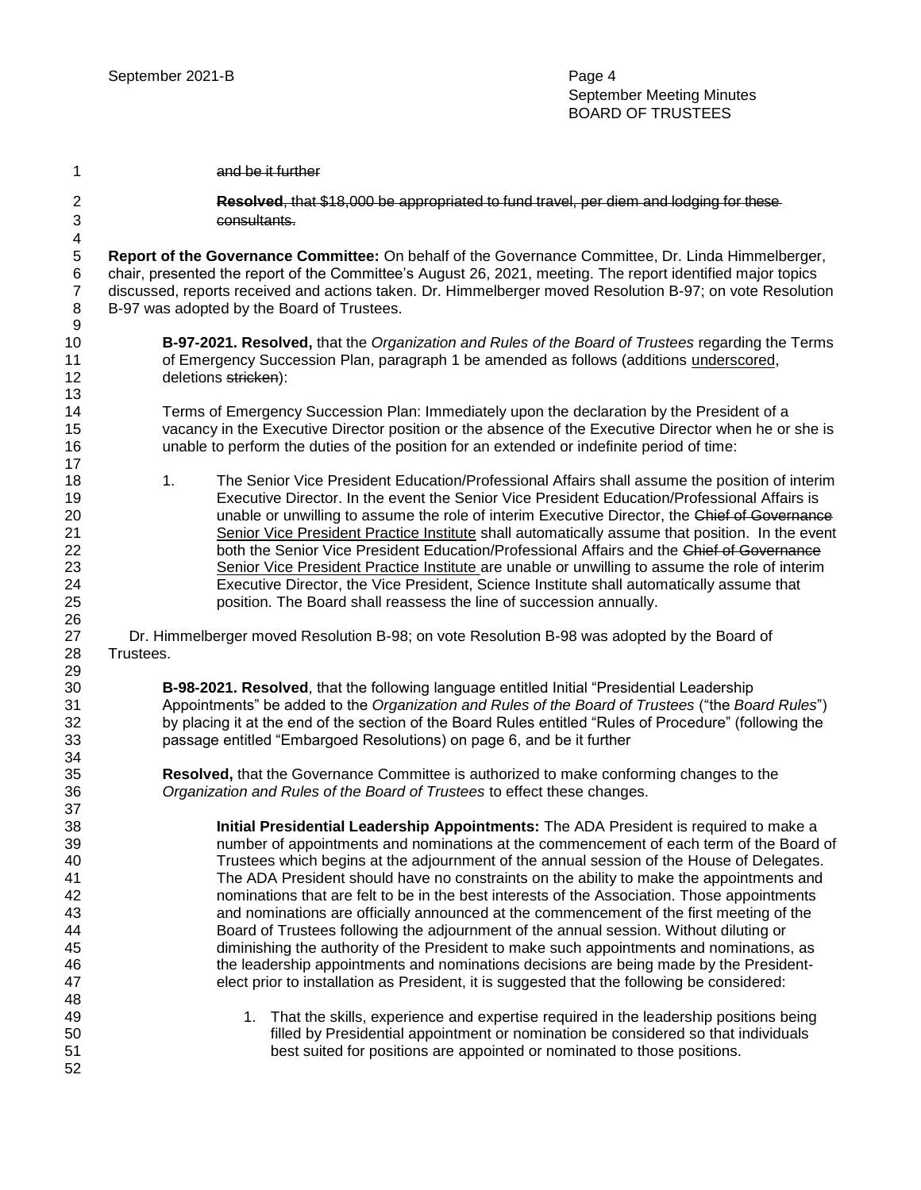| 1                                                              | and be it further                                                                                                                                                                                                                                                                                                                                                                                                                                                                                                                                                                                                                                                                                                                                                                                                                                                                                                                                    |  |  |  |  |
|----------------------------------------------------------------|------------------------------------------------------------------------------------------------------------------------------------------------------------------------------------------------------------------------------------------------------------------------------------------------------------------------------------------------------------------------------------------------------------------------------------------------------------------------------------------------------------------------------------------------------------------------------------------------------------------------------------------------------------------------------------------------------------------------------------------------------------------------------------------------------------------------------------------------------------------------------------------------------------------------------------------------------|--|--|--|--|
| $\overline{c}$<br>$\sqrt{3}$<br>$\overline{\mathbf{4}}$        | Resolved, that \$18,000 be appropriated to fund travel, per diem and lodging for these-<br>consultants.                                                                                                                                                                                                                                                                                                                                                                                                                                                                                                                                                                                                                                                                                                                                                                                                                                              |  |  |  |  |
| 5<br>$\,6$<br>$\boldsymbol{7}$<br>$\,8\,$<br>9                 | Report of the Governance Committee: On behalf of the Governance Committee, Dr. Linda Himmelberger,<br>chair, presented the report of the Committee's August 26, 2021, meeting. The report identified major topics<br>discussed, reports received and actions taken. Dr. Himmelberger moved Resolution B-97; on vote Resolution<br>B-97 was adopted by the Board of Trustees.                                                                                                                                                                                                                                                                                                                                                                                                                                                                                                                                                                         |  |  |  |  |
| 10<br>11<br>12<br>13                                           | B-97-2021. Resolved, that the Organization and Rules of the Board of Trustees regarding the Terms<br>of Emergency Succession Plan, paragraph 1 be amended as follows (additions underscored,<br>deletions stricken):                                                                                                                                                                                                                                                                                                                                                                                                                                                                                                                                                                                                                                                                                                                                 |  |  |  |  |
| 14<br>15<br>16<br>17                                           | Terms of Emergency Succession Plan: Immediately upon the declaration by the President of a<br>vacancy in the Executive Director position or the absence of the Executive Director when he or she is<br>unable to perform the duties of the position for an extended or indefinite period of time:                                                                                                                                                                                                                                                                                                                                                                                                                                                                                                                                                                                                                                                    |  |  |  |  |
| 18<br>19<br>20<br>21<br>22<br>23<br>24<br>25<br>26             | The Senior Vice President Education/Professional Affairs shall assume the position of interim<br>1.<br>Executive Director. In the event the Senior Vice President Education/Professional Affairs is<br>unable or unwilling to assume the role of interim Executive Director, the Chief of Governance<br>Senior Vice President Practice Institute shall automatically assume that position. In the event<br>both the Senior Vice President Education/Professional Affairs and the Chief of Governance<br>Senior Vice President Practice Institute are unable or unwilling to assume the role of interim<br>Executive Director, the Vice President, Science Institute shall automatically assume that<br>position. The Board shall reassess the line of succession annually.                                                                                                                                                                           |  |  |  |  |
| 27<br>28<br>29                                                 | Dr. Himmelberger moved Resolution B-98; on vote Resolution B-98 was adopted by the Board of<br>Trustees.                                                                                                                                                                                                                                                                                                                                                                                                                                                                                                                                                                                                                                                                                                                                                                                                                                             |  |  |  |  |
| 30<br>31<br>32<br>33                                           | B-98-2021. Resolved, that the following language entitled Initial "Presidential Leadership<br>Appointments" be added to the Organization and Rules of the Board of Trustees ("the Board Rules")<br>by placing it at the end of the section of the Board Rules entitled "Rules of Procedure" (following the<br>passage entitled "Embargoed Resolutions) on page 6, and be it further                                                                                                                                                                                                                                                                                                                                                                                                                                                                                                                                                                  |  |  |  |  |
| 34<br>35<br>36                                                 | Resolved, that the Governance Committee is authorized to make conforming changes to the<br>Organization and Rules of the Board of Trustees to effect these changes.                                                                                                                                                                                                                                                                                                                                                                                                                                                                                                                                                                                                                                                                                                                                                                                  |  |  |  |  |
| 37<br>38<br>39<br>40<br>41<br>42<br>43<br>44<br>45<br>46<br>47 | Initial Presidential Leadership Appointments: The ADA President is required to make a<br>number of appointments and nominations at the commencement of each term of the Board of<br>Trustees which begins at the adjournment of the annual session of the House of Delegates.<br>The ADA President should have no constraints on the ability to make the appointments and<br>nominations that are felt to be in the best interests of the Association. Those appointments<br>and nominations are officially announced at the commencement of the first meeting of the<br>Board of Trustees following the adjournment of the annual session. Without diluting or<br>diminishing the authority of the President to make such appointments and nominations, as<br>the leadership appointments and nominations decisions are being made by the President-<br>elect prior to installation as President, it is suggested that the following be considered: |  |  |  |  |
| 48<br>49<br>50<br>51<br>52                                     | 1. That the skills, experience and expertise required in the leadership positions being<br>filled by Presidential appointment or nomination be considered so that individuals<br>best suited for positions are appointed or nominated to those positions.                                                                                                                                                                                                                                                                                                                                                                                                                                                                                                                                                                                                                                                                                            |  |  |  |  |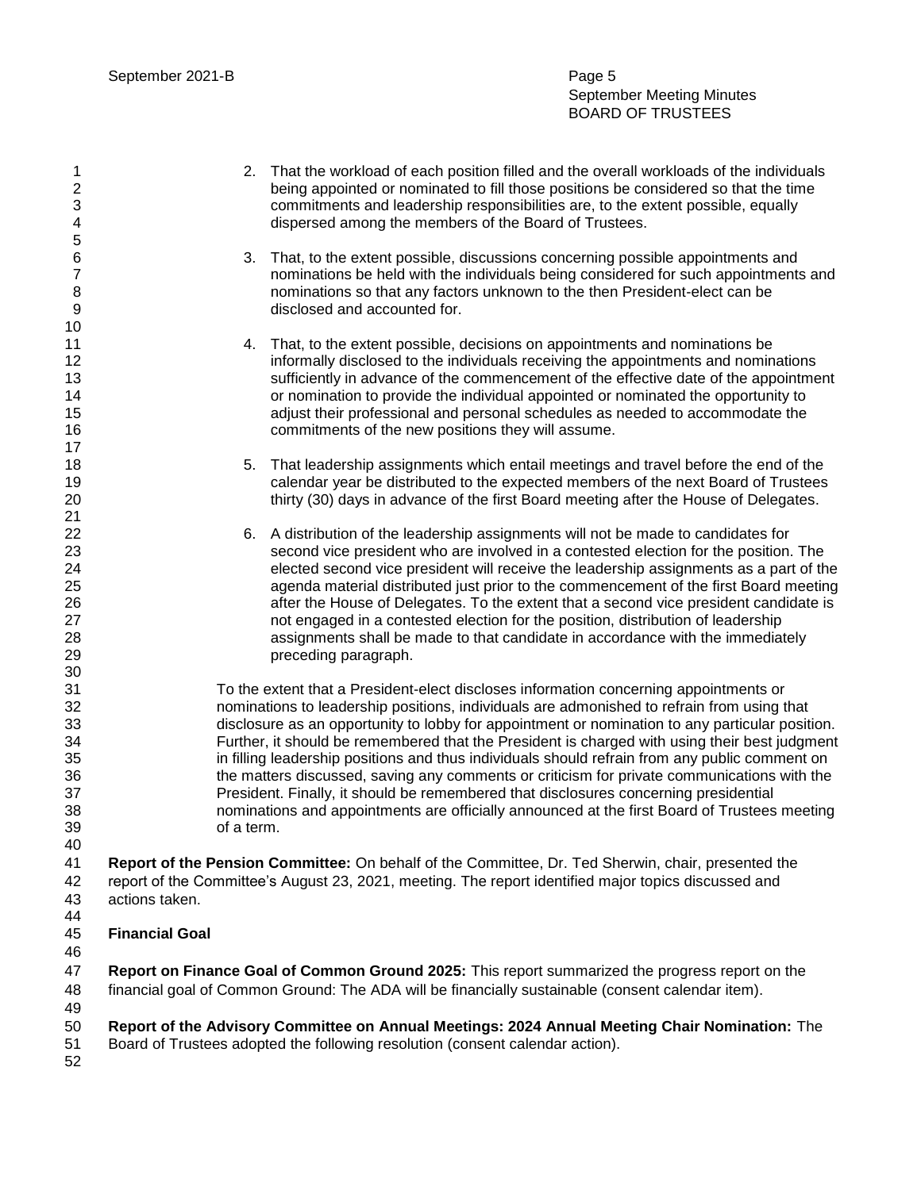September Meeting Minutes BOARD OF TRUSTEES

- 2. That the workload of each position filled and the overall workloads of the individuals being appointed or nominated to fill those positions be considered so that the time commitments and leadership responsibilities are, to the extent possible, equally dispersed among the members of the Board of Trustees.
- 3. That, to the extent possible, discussions concerning possible appointments and nominations be held with the individuals being considered for such appointments and nominations so that any factors unknown to the then President-elect can be disclosed and accounted for.
- 4. That, to the extent possible, decisions on appointments and nominations be **informally disclosed to the individuals receiving the appointments and nominations**  sufficiently in advance of the commencement of the effective date of the appointment or nomination to provide the individual appointed or nominated the opportunity to adjust their professional and personal schedules as needed to accommodate the commitments of the new positions they will assume.
- 18 18 5. That leadership assignments which entail meetings and travel before the end of the calendar year be distributed to the expected members of the next Board of Trustees thirty (30) days in advance of the first Board meeting after the House of Delegates.
- 6. A distribution of the leadership assignments will not be made to candidates for second vice president who are involved in a contested election for the position. The elected second vice president will receive the leadership assignments as a part of the agenda material distributed just prior to the commencement of the first Board meeting after the House of Delegates. To the extent that a second vice president candidate is not engaged in a contested election for the position, distribution of leadership assignments shall be made to that candidate in accordance with the immediately preceding paragraph.

 To the extent that a President-elect discloses information concerning appointments or nominations to leadership positions, individuals are admonished to refrain from using that disclosure as an opportunity to lobby for appointment or nomination to any particular position. Further, it should be remembered that the President is charged with using their best judgment in filling leadership positions and thus individuals should refrain from any public comment on the matters discussed, saving any comments or criticism for private communications with the President. Finally, it should be remembered that disclosures concerning presidential nominations and appointments are officially announced at the first Board of Trustees meeting of a term.

 **Report of the Pension Committee:** On behalf of the Committee, Dr. Ted Sherwin, chair, presented the report of the Committee's August 23, 2021, meeting. The report identified major topics discussed and actions taken.

- **Financial Goal**
- 

 **Report on Finance Goal of Common Ground 2025:** This report summarized the progress report on the financial goal of Common Ground: The ADA will be financially sustainable (consent calendar item).

**Report of the Advisory Committee on Annual Meetings: 2024 Annual Meeting Chair Nomination:** The

- Board of Trustees adopted the following resolution (consent calendar action).
-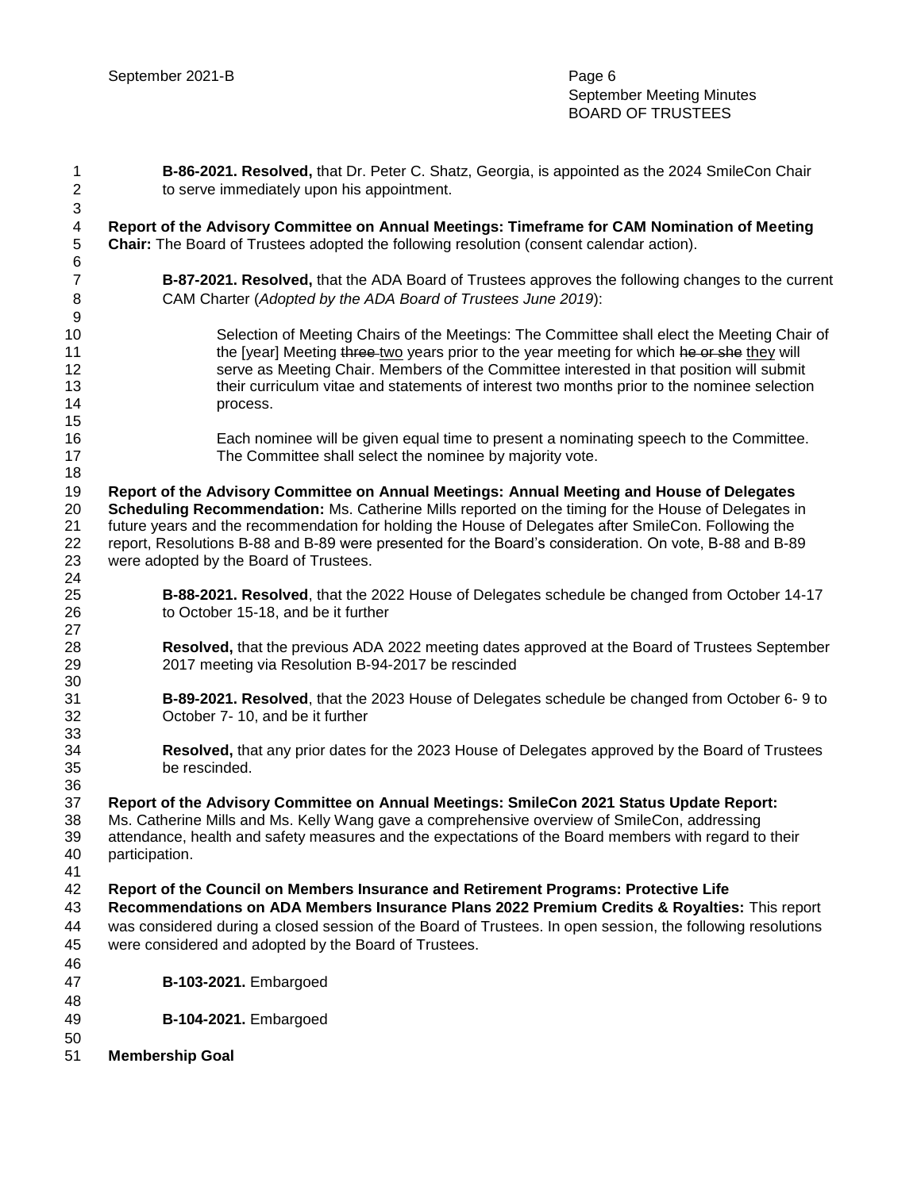| $\mathbf{1}$                  | B-86-2021. Resolved, that Dr. Peter C. Shatz, Georgia, is appointed as the 2024 SmileCon Chair                                                                                           |  |  |
|-------------------------------|------------------------------------------------------------------------------------------------------------------------------------------------------------------------------------------|--|--|
| $\mathbf{2}$                  | to serve immediately upon his appointment.                                                                                                                                               |  |  |
| $\ensuremath{\mathsf{3}}$     |                                                                                                                                                                                          |  |  |
| $\overline{4}$<br>$\,$ 5 $\,$ | Report of the Advisory Committee on Annual Meetings: Timeframe for CAM Nomination of Meeting<br>Chair: The Board of Trustees adopted the following resolution (consent calendar action). |  |  |
| $\,6$                         |                                                                                                                                                                                          |  |  |
| $\overline{7}$<br>$\,8\,$     | B-87-2021. Resolved, that the ADA Board of Trustees approves the following changes to the current<br>CAM Charter (Adopted by the ADA Board of Trustees June 2019):                       |  |  |
| $\boldsymbol{9}$              |                                                                                                                                                                                          |  |  |
| 10                            | Selection of Meeting Chairs of the Meetings: The Committee shall elect the Meeting Chair of                                                                                              |  |  |
| 11                            | the [year] Meeting three-two years prior to the year meeting for which he or she they will                                                                                               |  |  |
| 12                            | serve as Meeting Chair. Members of the Committee interested in that position will submit                                                                                                 |  |  |
| 13                            | their curriculum vitae and statements of interest two months prior to the nominee selection                                                                                              |  |  |
| 14<br>15                      | process.                                                                                                                                                                                 |  |  |
| 16<br>17                      | Each nominee will be given equal time to present a nominating speech to the Committee.<br>The Committee shall select the nominee by majority vote.                                       |  |  |
| 18                            |                                                                                                                                                                                          |  |  |
| 19                            | Report of the Advisory Committee on Annual Meetings: Annual Meeting and House of Delegates                                                                                               |  |  |
| 20                            | Scheduling Recommendation: Ms. Catherine Mills reported on the timing for the House of Delegates in                                                                                      |  |  |
| 21                            | future years and the recommendation for holding the House of Delegates after SmileCon. Following the                                                                                     |  |  |
| 22                            | report, Resolutions B-88 and B-89 were presented for the Board's consideration. On vote, B-88 and B-89                                                                                   |  |  |
| 23                            | were adopted by the Board of Trustees.                                                                                                                                                   |  |  |
| 24                            |                                                                                                                                                                                          |  |  |
| 25<br>26                      | B-88-2021. Resolved, that the 2022 House of Delegates schedule be changed from October 14-17<br>to October 15-18, and be it further                                                      |  |  |
| 27                            |                                                                                                                                                                                          |  |  |
| 28                            | Resolved, that the previous ADA 2022 meeting dates approved at the Board of Trustees September                                                                                           |  |  |
| 29                            | 2017 meeting via Resolution B-94-2017 be rescinded                                                                                                                                       |  |  |
| 30                            |                                                                                                                                                                                          |  |  |
| 31                            | B-89-2021. Resolved, that the 2023 House of Delegates schedule be changed from October 6-9 to                                                                                            |  |  |
| 32                            | October 7-10, and be it further                                                                                                                                                          |  |  |
| 33                            |                                                                                                                                                                                          |  |  |
| 34<br>35                      | Resolved, that any prior dates for the 2023 House of Delegates approved by the Board of Trustees<br>be rescinded.                                                                        |  |  |
| 36                            |                                                                                                                                                                                          |  |  |
| 37                            | Report of the Advisory Committee on Annual Meetings: SmileCon 2021 Status Update Report:                                                                                                 |  |  |
| 38                            | Ms. Catherine Mills and Ms. Kelly Wang gave a comprehensive overview of SmileCon, addressing                                                                                             |  |  |
| 39                            | attendance, health and safety measures and the expectations of the Board members with regard to their                                                                                    |  |  |
| 40                            | participation.                                                                                                                                                                           |  |  |
| 41                            |                                                                                                                                                                                          |  |  |
| 42                            | Report of the Council on Members Insurance and Retirement Programs: Protective Life                                                                                                      |  |  |
| 43                            | Recommendations on ADA Members Insurance Plans 2022 Premium Credits & Royalties: This report                                                                                             |  |  |
| 44                            | was considered during a closed session of the Board of Trustees. In open session, the following resolutions                                                                              |  |  |
| 45                            | were considered and adopted by the Board of Trustees.                                                                                                                                    |  |  |
| 46                            |                                                                                                                                                                                          |  |  |
| 47                            | B-103-2021. Embargoed                                                                                                                                                                    |  |  |
| 48                            |                                                                                                                                                                                          |  |  |
| 49                            | <b>B-104-2021.</b> Embargoed                                                                                                                                                             |  |  |
| 50<br>51                      | <b>Membership Goal</b>                                                                                                                                                                   |  |  |
|                               |                                                                                                                                                                                          |  |  |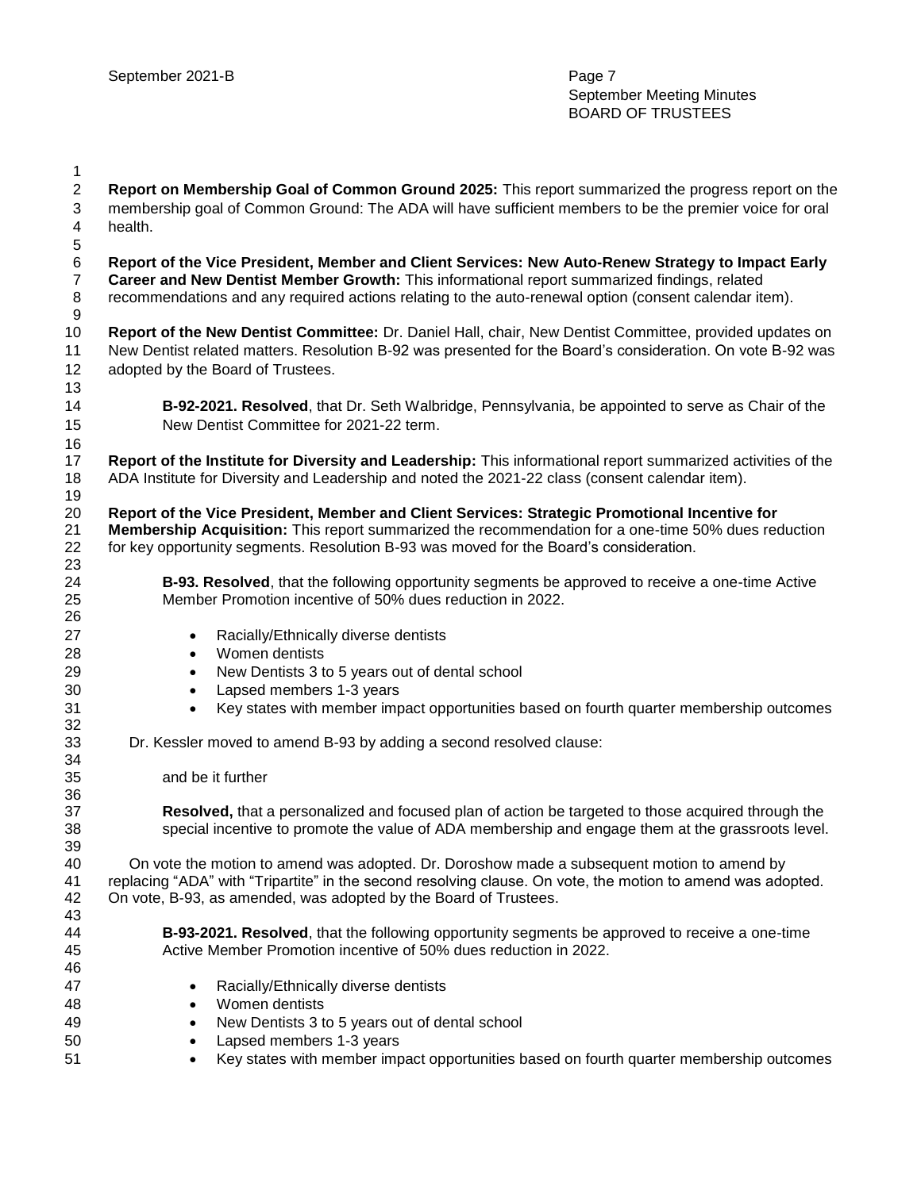| 1                |                                                                                                              |  |  |
|------------------|--------------------------------------------------------------------------------------------------------------|--|--|
| $\mathbf{2}$     | Report on Membership Goal of Common Ground 2025: This report summarized the progress report on the           |  |  |
| 3                | membership goal of Common Ground: The ADA will have sufficient members to be the premier voice for oral      |  |  |
| 4                | health.                                                                                                      |  |  |
| 5                |                                                                                                              |  |  |
| $\,6$            | Report of the Vice President, Member and Client Services: New Auto-Renew Strategy to Impact Early            |  |  |
| $\overline{7}$   | Career and New Dentist Member Growth: This informational report summarized findings, related                 |  |  |
| 8                | recommendations and any required actions relating to the auto-renewal option (consent calendar item).        |  |  |
| $\boldsymbol{9}$ |                                                                                                              |  |  |
| 10               | Report of the New Dentist Committee: Dr. Daniel Hall, chair, New Dentist Committee, provided updates on      |  |  |
| 11               | New Dentist related matters. Resolution B-92 was presented for the Board's consideration. On vote B-92 was   |  |  |
| 12               | adopted by the Board of Trustees.                                                                            |  |  |
| 13               |                                                                                                              |  |  |
| 14               | <b>B-92-2021. Resolved</b> , that Dr. Seth Walbridge, Pennsylvania, be appointed to serve as Chair of the    |  |  |
| 15               | New Dentist Committee for 2021-22 term.                                                                      |  |  |
| 16               |                                                                                                              |  |  |
| 17               | Report of the Institute for Diversity and Leadership: This informational report summarized activities of the |  |  |
| 18               | ADA Institute for Diversity and Leadership and noted the 2021-22 class (consent calendar item).              |  |  |
| 19               |                                                                                                              |  |  |
| 20               | Report of the Vice President, Member and Client Services: Strategic Promotional Incentive for                |  |  |
| 21               | Membership Acquisition: This report summarized the recommendation for a one-time 50% dues reduction          |  |  |
| 22               | for key opportunity segments. Resolution B-93 was moved for the Board's consideration.                       |  |  |
| 23               |                                                                                                              |  |  |
| 24               | <b>B-93. Resolved</b> , that the following opportunity segments be approved to receive a one-time Active     |  |  |
| 25               | Member Promotion incentive of 50% dues reduction in 2022.                                                    |  |  |
| 26               |                                                                                                              |  |  |
| 27               | Racially/Ethnically diverse dentists<br>$\bullet$                                                            |  |  |
| 28               | Women dentists<br>$\bullet$                                                                                  |  |  |
| 29               | New Dentists 3 to 5 years out of dental school<br>$\bullet$                                                  |  |  |
| 30               | Lapsed members 1-3 years<br>$\bullet$                                                                        |  |  |
| 31               | Key states with member impact opportunities based on fourth quarter membership outcomes<br>$\bullet$         |  |  |
| 32               |                                                                                                              |  |  |
| 33               | Dr. Kessler moved to amend B-93 by adding a second resolved clause:                                          |  |  |
| 34               | and be it further                                                                                            |  |  |
| 35<br>36         |                                                                                                              |  |  |
| 37               | Resolved, that a personalized and focused plan of action be targeted to those acquired through the           |  |  |
| 38               | special incentive to promote the value of ADA membership and engage them at the grassroots level.            |  |  |
| 39               |                                                                                                              |  |  |
| 40               | On vote the motion to amend was adopted. Dr. Doroshow made a subsequent motion to amend by                   |  |  |
| 41               | replacing "ADA" with "Tripartite" in the second resolving clause. On vote, the motion to amend was adopted.  |  |  |
| 42               | On vote, B-93, as amended, was adopted by the Board of Trustees.                                             |  |  |
| 43               |                                                                                                              |  |  |
| 44               | B-93-2021. Resolved, that the following opportunity segments be approved to receive a one-time               |  |  |
| 45               | Active Member Promotion incentive of 50% dues reduction in 2022.                                             |  |  |
| 46               |                                                                                                              |  |  |
| 47               | Racially/Ethnically diverse dentists<br>$\bullet$                                                            |  |  |
| 48               | Women dentists<br>$\bullet$                                                                                  |  |  |
| 49               | New Dentists 3 to 5 years out of dental school<br>٠                                                          |  |  |
| 50               | Lapsed members 1-3 years<br>٠                                                                                |  |  |
| 51               | Key states with member impact opportunities based on fourth quarter membership outcomes<br>٠                 |  |  |
|                  |                                                                                                              |  |  |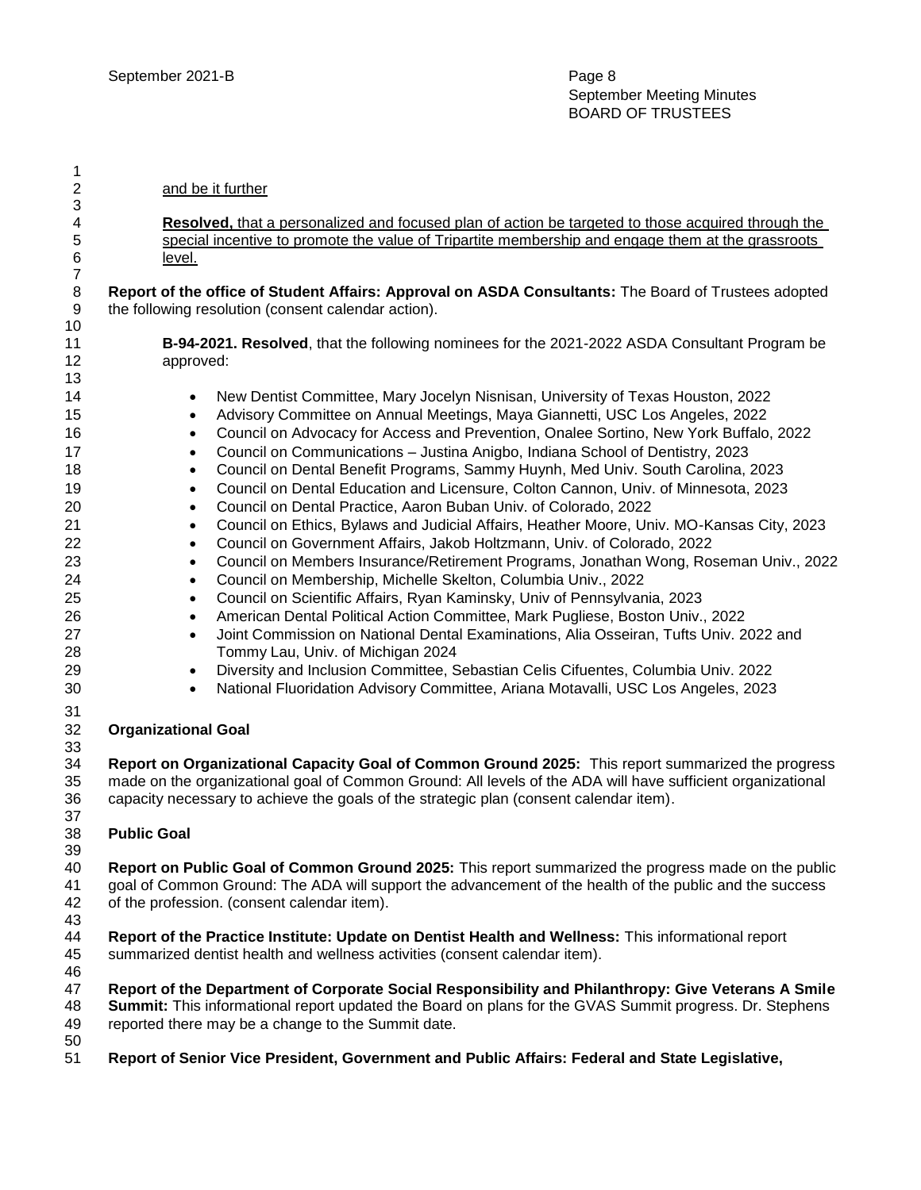| 1                              |                                                                                                                                                             |  |  |
|--------------------------------|-------------------------------------------------------------------------------------------------------------------------------------------------------------|--|--|
| $\overline{\mathbf{c}}$        | and be it further                                                                                                                                           |  |  |
| 3                              |                                                                                                                                                             |  |  |
| 4                              | Resolved, that a personalized and focused plan of action be targeted to those acquired through the                                                          |  |  |
| 5                              | special incentive to promote the value of Tripartite membership and engage them at the grassroots                                                           |  |  |
| 6                              | level.                                                                                                                                                      |  |  |
| $\overline{7}$<br>$\,8\,$<br>9 | Report of the office of Student Affairs: Approval on ASDA Consultants: The Board of Trustees adopted<br>the following resolution (consent calendar action). |  |  |
| 10                             |                                                                                                                                                             |  |  |
| 11                             | B-94-2021. Resolved, that the following nominees for the 2021-2022 ASDA Consultant Program be                                                               |  |  |
| 12                             | approved:                                                                                                                                                   |  |  |
| 13                             |                                                                                                                                                             |  |  |
| 14                             | New Dentist Committee, Mary Jocelyn Nisnisan, University of Texas Houston, 2022<br>$\bullet$                                                                |  |  |
| 15                             | Advisory Committee on Annual Meetings, Maya Giannetti, USC Los Angeles, 2022<br>٠                                                                           |  |  |
| 16                             | Council on Advocacy for Access and Prevention, Onalee Sortino, New York Buffalo, 2022<br>$\bullet$                                                          |  |  |
| 17                             | Council on Communications - Justina Anigbo, Indiana School of Dentistry, 2023<br>$\bullet$                                                                  |  |  |
| 18                             | Council on Dental Benefit Programs, Sammy Huynh, Med Univ. South Carolina, 2023<br>$\bullet$                                                                |  |  |
| 19                             | Council on Dental Education and Licensure, Colton Cannon, Univ. of Minnesota, 2023<br>$\bullet$                                                             |  |  |
| 20                             | Council on Dental Practice, Aaron Buban Univ. of Colorado, 2022<br>$\bullet$                                                                                |  |  |
| 21                             | Council on Ethics, Bylaws and Judicial Affairs, Heather Moore, Univ. MO-Kansas City, 2023<br>$\bullet$                                                      |  |  |
| 22                             | Council on Government Affairs, Jakob Holtzmann, Univ. of Colorado, 2022<br>$\bullet$                                                                        |  |  |
| 23                             | Council on Members Insurance/Retirement Programs, Jonathan Wong, Roseman Univ., 2022<br>$\bullet$                                                           |  |  |
| 24                             | Council on Membership, Michelle Skelton, Columbia Univ., 2022<br>$\bullet$                                                                                  |  |  |
| 25                             | Council on Scientific Affairs, Ryan Kaminsky, Univ of Pennsylvania, 2023<br>$\bullet$                                                                       |  |  |
| 26                             | American Dental Political Action Committee, Mark Pugliese, Boston Univ., 2022<br>$\bullet$                                                                  |  |  |
| 27                             | Joint Commission on National Dental Examinations, Alia Osseiran, Tufts Univ. 2022 and<br>$\bullet$                                                          |  |  |
| 28                             | Tommy Lau, Univ. of Michigan 2024                                                                                                                           |  |  |
| 29                             | Diversity and Inclusion Committee, Sebastian Celis Cifuentes, Columbia Univ. 2022<br>$\bullet$                                                              |  |  |
| 30                             | National Fluoridation Advisory Committee, Ariana Motavalli, USC Los Angeles, 2023<br>$\bullet$                                                              |  |  |
| 31                             |                                                                                                                                                             |  |  |
| 32<br>33                       | <b>Organizational Goal</b>                                                                                                                                  |  |  |
| 34                             | Report on Organizational Capacity Goal of Common Ground 2025: This report summarized the progress                                                           |  |  |
| 35                             | made on the organizational goal of Common Ground: All levels of the ADA will have sufficient organizational                                                 |  |  |
| 36                             | capacity necessary to achieve the goals of the strategic plan (consent calendar item).                                                                      |  |  |
| 37                             |                                                                                                                                                             |  |  |
| 38                             | <b>Public Goal</b>                                                                                                                                          |  |  |
| 39                             |                                                                                                                                                             |  |  |
| 40                             | Report on Public Goal of Common Ground 2025: This report summarized the progress made on the public                                                         |  |  |
| 41                             | goal of Common Ground: The ADA will support the advancement of the health of the public and the success                                                     |  |  |
| 42                             | of the profession. (consent calendar item).                                                                                                                 |  |  |
| 43                             |                                                                                                                                                             |  |  |
| 44                             | Report of the Practice Institute: Update on Dentist Health and Wellness: This informational report                                                          |  |  |
| 45                             | summarized dentist health and wellness activities (consent calendar item).                                                                                  |  |  |
| 46                             |                                                                                                                                                             |  |  |
| 47                             | Report of the Department of Corporate Social Responsibility and Philanthropy: Give Veterans A Smile                                                         |  |  |
| 48                             | Summit: This informational report updated the Board on plans for the GVAS Summit progress. Dr. Stephens                                                     |  |  |
| 49                             | reported there may be a change to the Summit date.                                                                                                          |  |  |
| 50<br>51                       | Report of Senior Vice President, Government and Public Affairs: Federal and State Legislative,                                                              |  |  |
|                                |                                                                                                                                                             |  |  |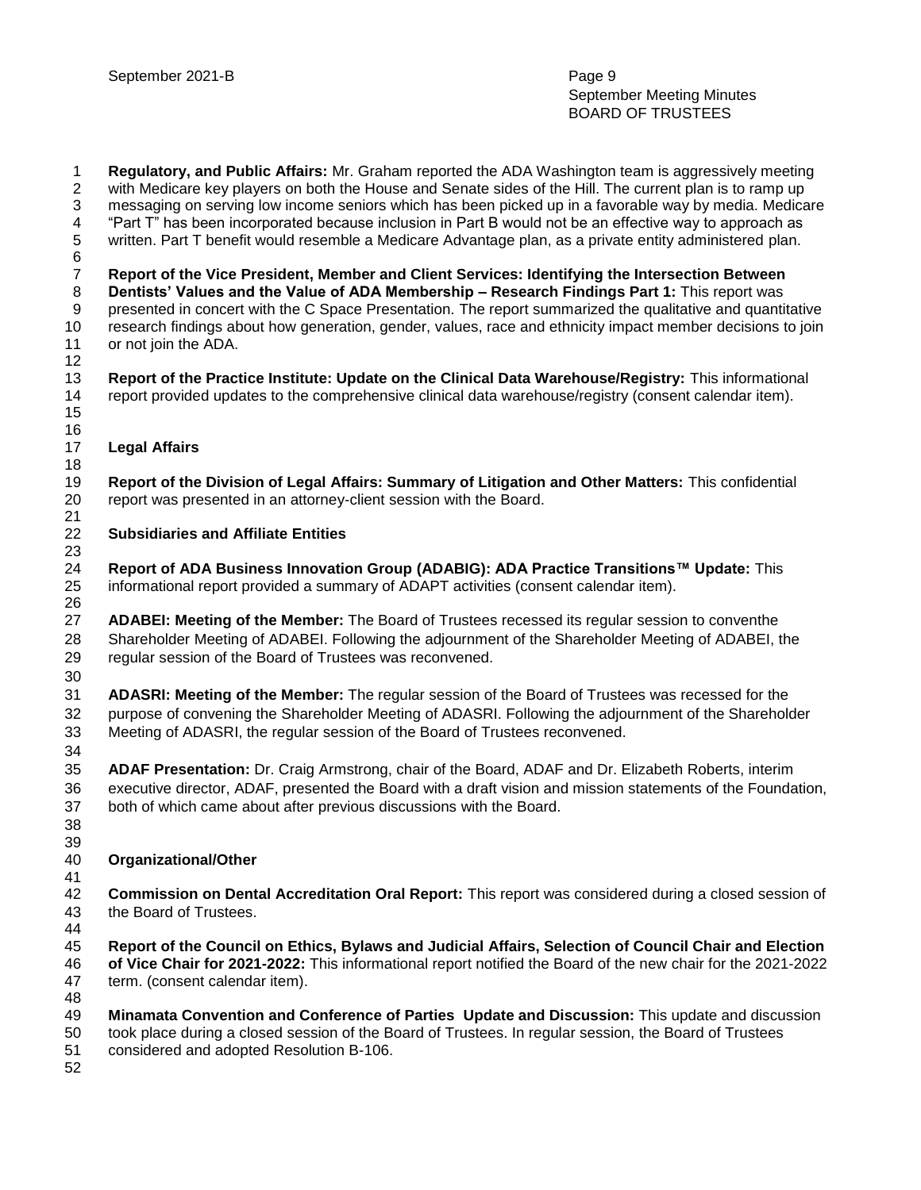**Regulatory, and Public Affairs:** Mr. Graham reported the ADA Washington team is aggressively meeting with Medicare key players on both the House and Senate sides of the Hill. The current plan is to ramp up messaging on serving low income seniors which has been picked up in a favorable way by media. Medicare "Part T" has been incorporated because inclusion in Part B would not be an effective way to approach as written. Part T benefit would resemble a Medicare Advantage plan, as a private entity administered plan. **Report of the Vice President, Member and Client Services: Identifying the Intersection Between Dentists' Values and the Value of ADA Membership – Research Findings Part 1:** This report was presented in concert with the C Space Presentation. The report summarized the qualitative and quantitative research findings about how generation, gender, values, race and ethnicity impact member decisions to join or not join the ADA. **Report of the Practice Institute: Update on the Clinical Data Warehouse/Registry:** This informational report provided updates to the comprehensive clinical data warehouse/registry (consent calendar item). **Legal Affairs Report of the Division of Legal Affairs: Summary of Litigation and Other Matters:** This confidential report was presented in an attorney-client session with the Board. **Subsidiaries and Affiliate Entities Report of ADA Business Innovation Group (ADABIG): ADA Practice Transitions™ Update:** This informational report provided a summary of ADAPT activities (consent calendar item). **ADABEI: Meeting of the Member:** The Board of Trustees recessed its regular session to conventhe Shareholder Meeting of ADABEI. Following the adjournment of the Shareholder Meeting of ADABEI, the regular session of the Board of Trustees was reconvened. **ADASRI: Meeting of the Member:** The regular session of the Board of Trustees was recessed for the purpose of convening the Shareholder Meeting of ADASRI. Following the adjournment of the Shareholder Meeting of ADASRI, the regular session of the Board of Trustees reconvened. **ADAF Presentation:** Dr. Craig Armstrong, chair of the Board, ADAF and Dr. Elizabeth Roberts, interim executive director, ADAF, presented the Board with a draft vision and mission statements of the Foundation, both of which came about after previous discussions with the Board. **Organizational/Other Commission on Dental Accreditation Oral Report:** This report was considered during a closed session of the Board of Trustees. **Report of the Council on Ethics, Bylaws and Judicial Affairs, Selection of Council Chair and Election of Vice Chair for 2021-2022:** This informational report notified the Board of the new chair for the 2021-2022 term. (consent calendar item). **Minamata Convention and Conference of Parties Update and Discussion:** This update and discussion took place during a closed session of the Board of Trustees. In regular session, the Board of Trustees considered and adopted Resolution B-106.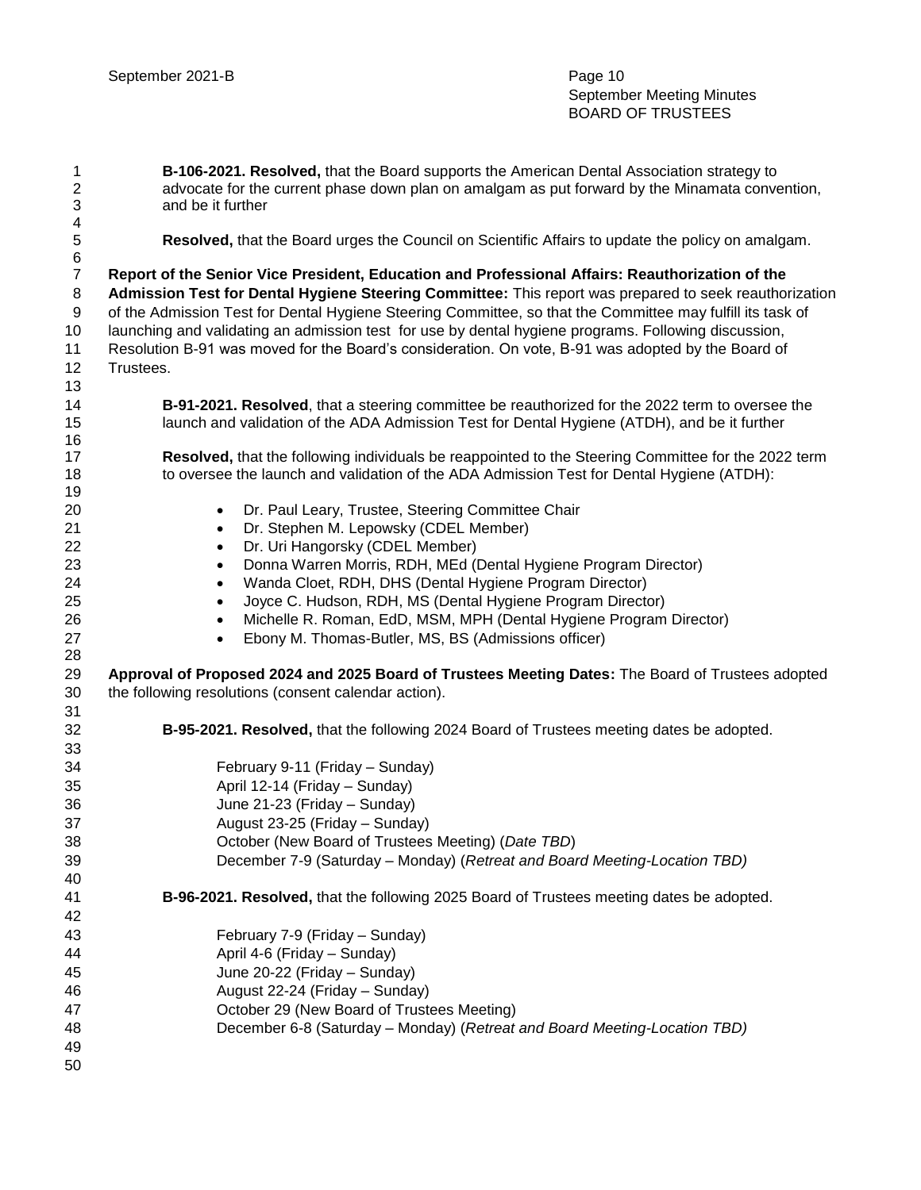**B-106-2021. Resolved,** that the Board supports the American Dental Association strategy to advocate for the current phase down plan on amalgam as put forward by the Minamata convention, and be it further

**Resolved,** that the Board urges the Council on Scientific Affairs to update the policy on amalgam.

6<br>7 **Report of the Senior Vice President, Education and Professional Affairs: Reauthorization of the Admission Test for Dental Hygiene Steering Committee:** This report was prepared to seek reauthorization of the Admission Test for Dental Hygiene Steering Committee, so that the Committee may fulfill its task of launching and validating an admission test for use by dental hygiene programs. Following discussion, Resolution B-91 was moved for the Board's consideration. On vote, B-91 was adopted by the Board of Trustees.

| 14 | B-91-2021. Resolved, that a steering committee be reauthorized for the 2022 term to oversee the     |
|----|-----------------------------------------------------------------------------------------------------|
| 15 | launch and validation of the ADA Admission Test for Dental Hygiene (ATDH), and be it further        |
| 16 |                                                                                                     |
| 17 | Resolved, that the following individuals be reappointed to the Steering Committee for the 2022 term |
| 18 | to oversee the launch and validation of the ADA Admission Test for Dental Hygiene (ATDH):           |
| 19 |                                                                                                     |
| 20 | Dr. Paul Leary, Trustee, Steering Committee Chair<br>$\bullet$                                      |
| 21 | Dr. Stephen M. Lepowsky (CDEL Member)<br>$\bullet$                                                  |
| 22 | Dr. Uri Hangorsky (CDEL Member)<br>$\bullet$                                                        |
| 23 | Donna Warren Morris, RDH, MEd (Dental Hygiene Program Director)<br>$\bullet$                        |
| 24 | Wanda Cloet, RDH, DHS (Dental Hygiene Program Director)<br>$\bullet$                                |
| 25 | Joyce C. Hudson, RDH, MS (Dental Hygiene Program Director)<br>$\bullet$                             |
| 26 | Michelle R. Roman, EdD, MSM, MPH (Dental Hygiene Program Director)<br>$\bullet$                     |
| 27 | Ebony M. Thomas-Butler, MS, BS (Admissions officer)<br>$\bullet$                                    |
| 28 |                                                                                                     |
| 29 | Approval of Proposed 2024 and 2025 Board of Trustees Meeting Dates: The Board of Trustees adopted   |
| 30 | the following resolutions (consent calendar action).                                                |
| 31 |                                                                                                     |
| 32 | B-95-2021. Resolved, that the following 2024 Board of Trustees meeting dates be adopted.            |
| 33 |                                                                                                     |
| 34 | February 9-11 (Friday - Sunday)                                                                     |
| 35 | April 12-14 (Friday - Sunday)                                                                       |
| 36 | June 21-23 (Friday - Sunday)                                                                        |
| 37 | August 23-25 (Friday - Sunday)                                                                      |
| 38 | October (New Board of Trustees Meeting) (Date TBD)                                                  |
| 39 | December 7-9 (Saturday – Monday) (Retreat and Board Meeting-Location TBD)                           |
| 40 |                                                                                                     |
| 41 | B-96-2021. Resolved, that the following 2025 Board of Trustees meeting dates be adopted.            |
| 42 |                                                                                                     |
| 43 | February 7-9 (Friday - Sunday)                                                                      |
| 44 | April 4-6 (Friday - Sunday)                                                                         |
| 45 | June 20-22 (Friday - Sunday)                                                                        |
| 46 | August 22-24 (Friday - Sunday)                                                                      |
| 47 | October 29 (New Board of Trustees Meeting)                                                          |
| 48 | December 6-8 (Saturday - Monday) (Retreat and Board Meeting-Location TBD)                           |
| 49 |                                                                                                     |
| 50 |                                                                                                     |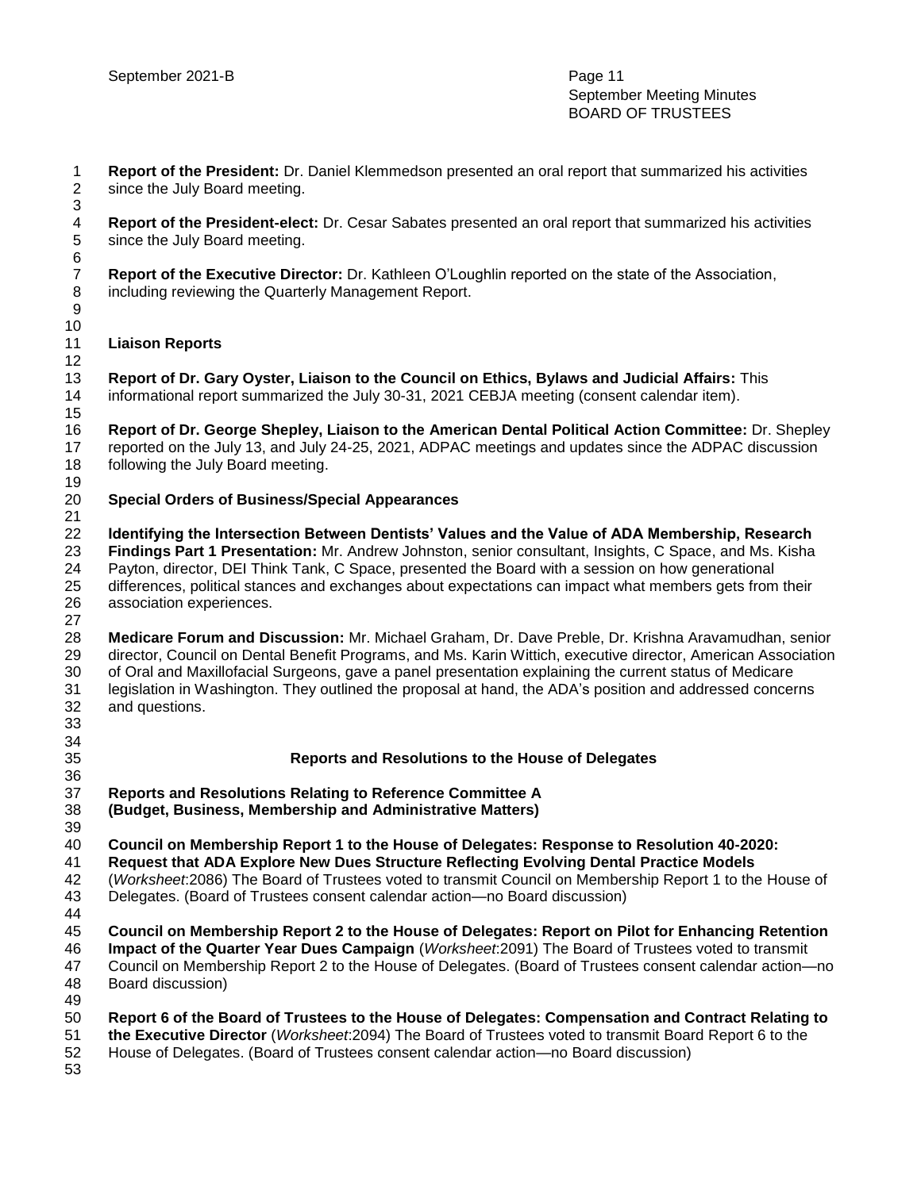**Report of the President:** Dr. Daniel Klemmedson presented an oral report that summarized his activities since the July Board meeting. 

 **Report of the President-elect:** Dr. Cesar Sabates presented an oral report that summarized his activities since the July Board meeting.

 **Report of the Executive Director:** Dr. Kathleen O'Loughlin reported on the state of the Association, including reviewing the Quarterly Management Report.

### **Liaison Reports**

 

 **Report of Dr. Gary Oyster, Liaison to the Council on Ethics, Bylaws and Judicial Affairs:** This informational report summarized the July 30-31, 2021 CEBJA meeting (consent calendar item). 

 **Report of Dr. George Shepley, Liaison to the American Dental Political Action Committee:** Dr. Shepley reported on the July 13, and July 24-25, 2021, ADPAC meetings and updates since the ADPAC discussion following the July Board meeting. 

### **Special Orders of Business/Special Appearances**

 **Identifying the Intersection Between Dentists' Values and the Value of ADA Membership, Research Findings Part 1 Presentation:** Mr. Andrew Johnston, senior consultant, Insights, C Space, and Ms. Kisha Payton, director, DEI Think Tank, C Space, presented the Board with a session on how generational differences, political stances and exchanges about expectations can impact what members gets from their association experiences. 

 **Medicare Forum and Discussion:** Mr. Michael Graham, Dr. Dave Preble, Dr. Krishna Aravamudhan, senior director, Council on Dental Benefit Programs, and Ms. Karin Wittich, executive director, American Association of Oral and Maxillofacial Surgeons, gave a panel presentation explaining the current status of Medicare legislation in Washington. They outlined the proposal at hand, the ADA's position and addressed concerns and questions. 

### **Reports and Resolutions to the House of Delegates**

 **Reports and Resolutions Relating to Reference Committee A** 

**(Budget, Business, Membership and Administrative Matters)**

 **Council on Membership Report 1 to the House of Delegates: Response to Resolution 40-2020:** 

**Request that ADA Explore New Dues Structure Reflecting Evolving Dental Practice Models**

(*Worksheet*:2086) The Board of Trustees voted to transmit Council on Membership Report 1 to the House of

Delegates. (Board of Trustees consent calendar action—no Board discussion)

**Council on Membership Report 2 to the House of Delegates: Report on Pilot for Enhancing Retention** 

**Impact of the Quarter Year Dues Campaign** (*Worksheet*:2091) The Board of Trustees voted to transmit

 Council on Membership Report 2 to the House of Delegates. (Board of Trustees consent calendar action—no Board discussion) 

- **Report 6 of the Board of Trustees to the House of Delegates: Compensation and Contract Relating to the Executive Director** (*Worksheet*:2094) The Board of Trustees voted to transmit Board Report 6 to the
- House of Delegates. (Board of Trustees consent calendar action—no Board discussion)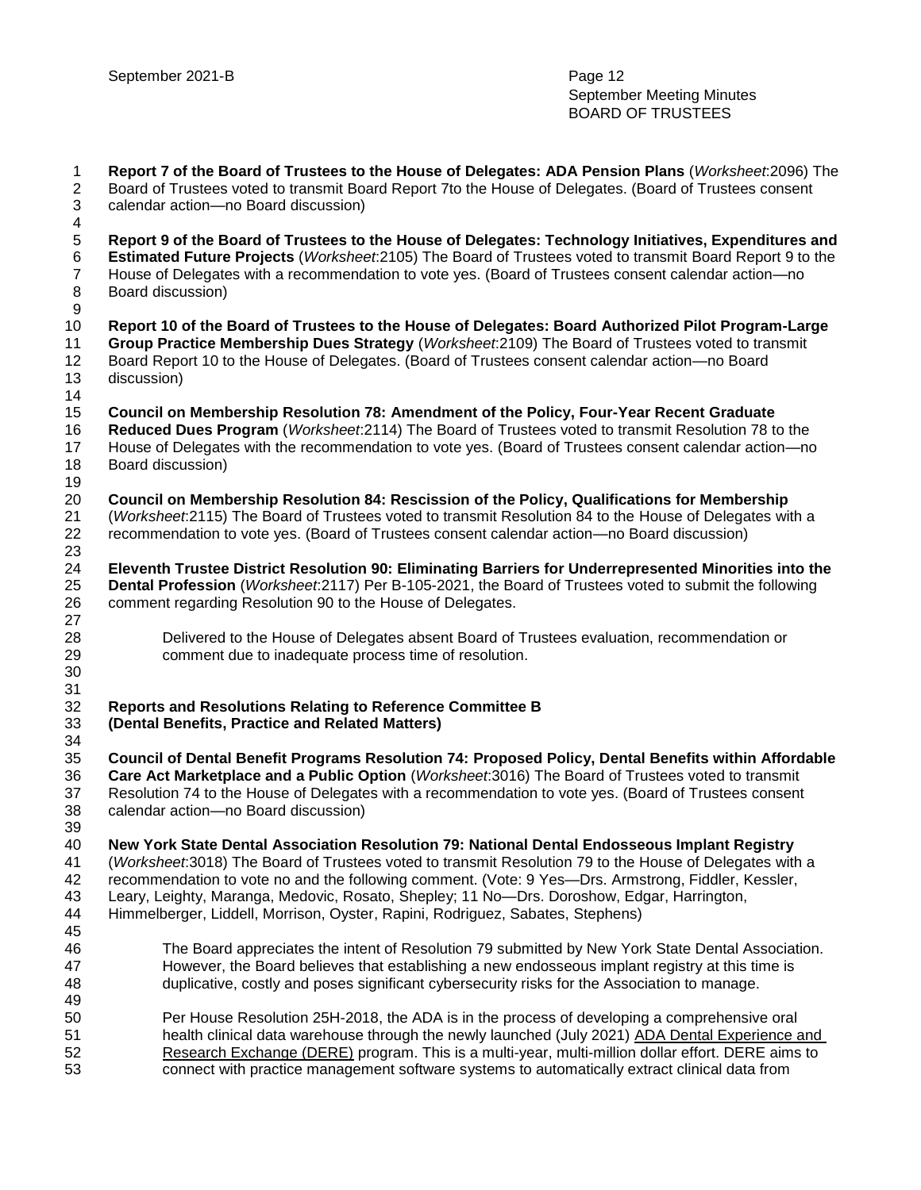**Report 7 of the Board of Trustees to the House of Delegates: ADA Pension Plans** (*Worksheet*:2096) The Board of Trustees voted to transmit Board Report 7to the House of Delegates. (Board of Trustees consent calendar action—no Board discussion) **Report 9 of the Board of Trustees to the House of Delegates: Technology Initiatives, Expenditures and Estimated Future Projects** (*Worksheet*:2105) The Board of Trustees voted to transmit Board Report 9 to the House of Delegates with a recommendation to vote yes. (Board of Trustees consent calendar action—no Board discussion) **Report 10 of the Board of Trustees to the House of Delegates: Board Authorized Pilot Program-Large Group Practice Membership Dues Strategy** (*Worksheet*:2109) The Board of Trustees voted to transmit Board Report 10 to the House of Delegates. (Board of Trustees consent calendar action—no Board discussion) **Council on Membership Resolution 78: Amendment of the Policy, Four-Year Recent Graduate Reduced Dues Program** (*Worksheet*:2114) The Board of Trustees voted to transmit Resolution 78 to the House of Delegates with the recommendation to vote yes. (Board of Trustees consent calendar action—no Board discussion) **Council on Membership Resolution 84: Rescission of the Policy, Qualifications for Membership**  (*Worksheet*:2115) The Board of Trustees voted to transmit Resolution 84 to the House of Delegates with a recommendation to vote yes. (Board of Trustees consent calendar action—no Board discussion) **Eleventh Trustee District Resolution 90: Eliminating Barriers for Underrepresented Minorities into the Dental Profession** (*Worksheet*:2117) Per B-105-2021, the Board of Trustees voted to submit the following comment regarding Resolution 90 to the House of Delegates. Delivered to the House of Delegates absent Board of Trustees evaluation, recommendation or comment due to inadequate process time of resolution. **Reports and Resolutions Relating to Reference Committee B (Dental Benefits, Practice and Related Matters) Council of Dental Benefit Programs Resolution 74: Proposed Policy, Dental Benefits within Affordable Care Act Marketplace and a Public Option** (*Worksheet*:3016) The Board of Trustees voted to transmit Resolution 74 to the House of Delegates with a recommendation to vote yes. (Board of Trustees consent calendar action—no Board discussion) **New York State Dental Association Resolution 79: National Dental Endosseous Implant Registry**  (*Worksheet*:3018) The Board of Trustees voted to transmit Resolution 79 to the House of Delegates with a recommendation to vote no and the following comment. (Vote: 9 Yes—Drs. Armstrong, Fiddler, Kessler, Leary, Leighty, Maranga, Medovic, Rosato, Shepley; 11 No—Drs. Doroshow, Edgar, Harrington, Himmelberger, Liddell, Morrison, Oyster, Rapini, Rodriguez, Sabates, Stephens) The Board appreciates the intent of Resolution 79 submitted by New York State Dental Association. However, the Board believes that establishing a new endosseous implant registry at this time is duplicative, costly and poses significant cybersecurity risks for the Association to manage. Per House Resolution 25H-2018, the ADA is in the process of developing a comprehensive oral health clinical data warehouse through the newly launched (July 2021) [ADA Dental Experience and](https://www.ada.org/resources/research/dental-experience-and-research-exchange/about-the-ada-dental-experience-and-research-exchange)  [Research Exchange \(DERE\)](https://www.ada.org/resources/research/dental-experience-and-research-exchange/about-the-ada-dental-experience-and-research-exchange) program. This is a multi-year, multi-million dollar effort. DERE aims to connect with practice management software systems to automatically extract clinical data from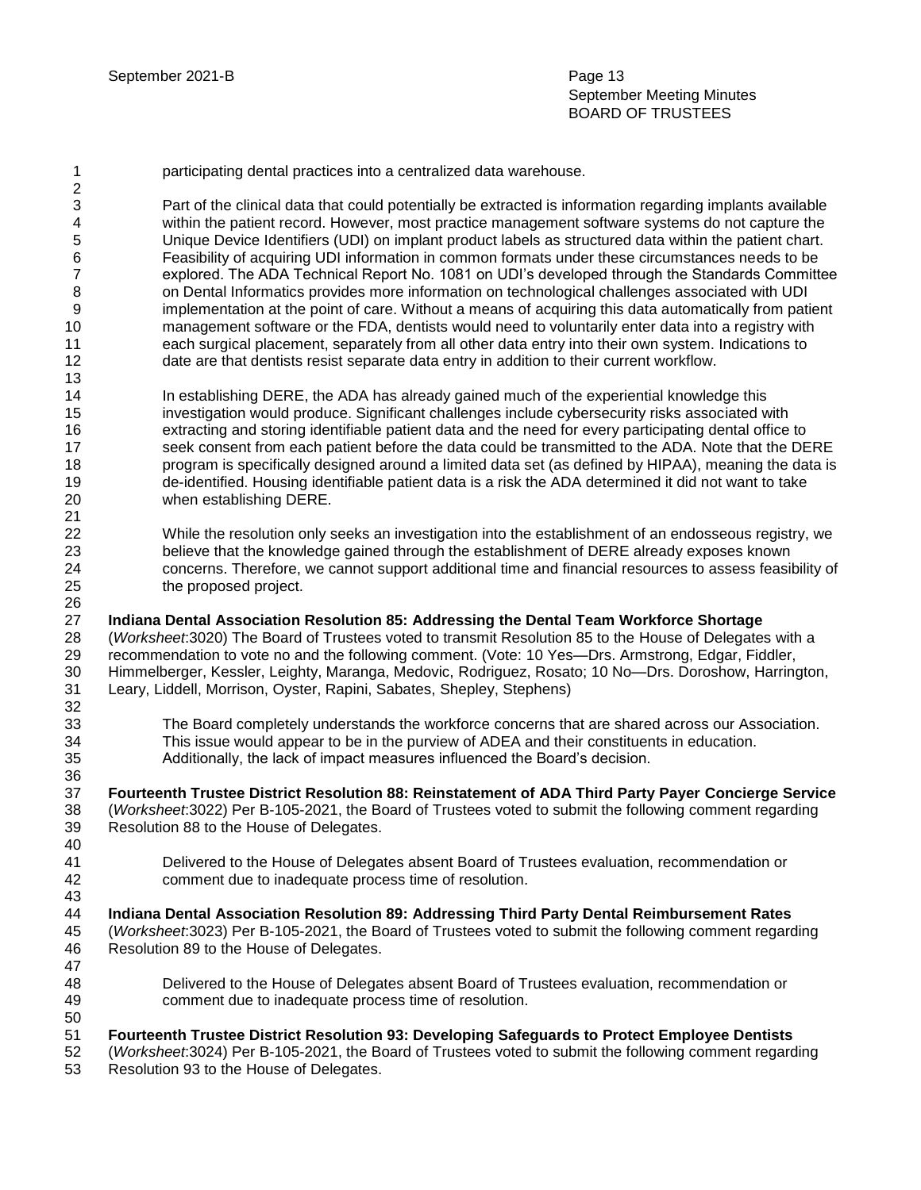September Meeting Minutes BOARD OF TRUSTEES

 Part of the clinical data that could potentially be extracted is information regarding implants available within the patient record. However, most practice management software systems do not capture the Unique Device Identifiers (UDI) on implant product labels as structured data within the patient chart. Feasibility of acquiring UDI information in common formats under these circumstances needs to be explored. The ADA Technical Report No. 1081 on UDI's developed through the Standards Committee on Dental Informatics provides more information on technological challenges associated with UDI implementation at the point of care. Without a means of acquiring this data automatically from patient management software or the FDA, dentists would need to voluntarily enter data into a registry with each surgical placement, separately from all other data entry into their own system. Indications to date are that dentists resist separate data entry in addition to their current workflow.

- In establishing DERE, the ADA has already gained much of the experiential knowledge this investigation would produce. Significant challenges include cybersecurity risks associated with extracting and storing identifiable patient data and the need for every participating dental office to 17 seek consent from each patient before the data could be transmitted to the ADA. Note that the DERE program is specifically designed around a limited data set (as defined by HIPAA), meaning the data is de-identified. Housing identifiable patient data is a risk the ADA determined it did not want to take when establishing DERE.
- While the resolution only seeks an investigation into the establishment of an endosseous registry, we believe that the knowledge gained through the establishment of DERE already exposes known concerns. Therefore, we cannot support additional time and financial resources to assess feasibility of the proposed project.

### **Indiana Dental Association Resolution 85: Addressing the Dental Team Workforce Shortage**

 (*Worksheet*:3020) The Board of Trustees voted to transmit Resolution 85 to the House of Delegates with a recommendation to vote no and the following comment. (Vote: 10 Yes—Drs. Armstrong, Edgar, Fiddler, Himmelberger, Kessler, Leighty, Maranga, Medovic, Rodriguez, Rosato; 10 No—Drs. Doroshow, Harrington, Leary, Liddell, Morrison, Oyster, Rapini, Sabates, Shepley, Stephens) 

 The Board completely understands the workforce concerns that are shared across our Association. This issue would appear to be in the purview of ADEA and their constituents in education. Additionally, the lack of impact measures influenced the Board's decision.

 **Fourteenth Trustee District Resolution 88: Reinstatement of ADA Third Party Payer Concierge Service** (*Worksheet*:3022) Per B-105-2021, the Board of Trustees voted to submit the following comment regarding Resolution 88 to the House of Delegates. 

 Delivered to the House of Delegates absent Board of Trustees evaluation, recommendation or comment due to inadequate process time of resolution.

- **Indiana Dental Association Resolution 89: Addressing Third Party Dental Reimbursement Rates**  (*Worksheet*:3023) Per B-105-2021, the Board of Trustees voted to submit the following comment regarding
- Resolution 89 to the House of Delegates.
- Delivered to the House of Delegates absent Board of Trustees evaluation, recommendation or comment due to inadequate process time of resolution.
- **Fourteenth Trustee District Resolution 93: Developing Safeguards to Protect Employee Dentists**
- (*Worksheet*:3024) Per B-105-2021, the Board of Trustees voted to submit the following comment regarding
- Resolution 93 to the House of Delegates.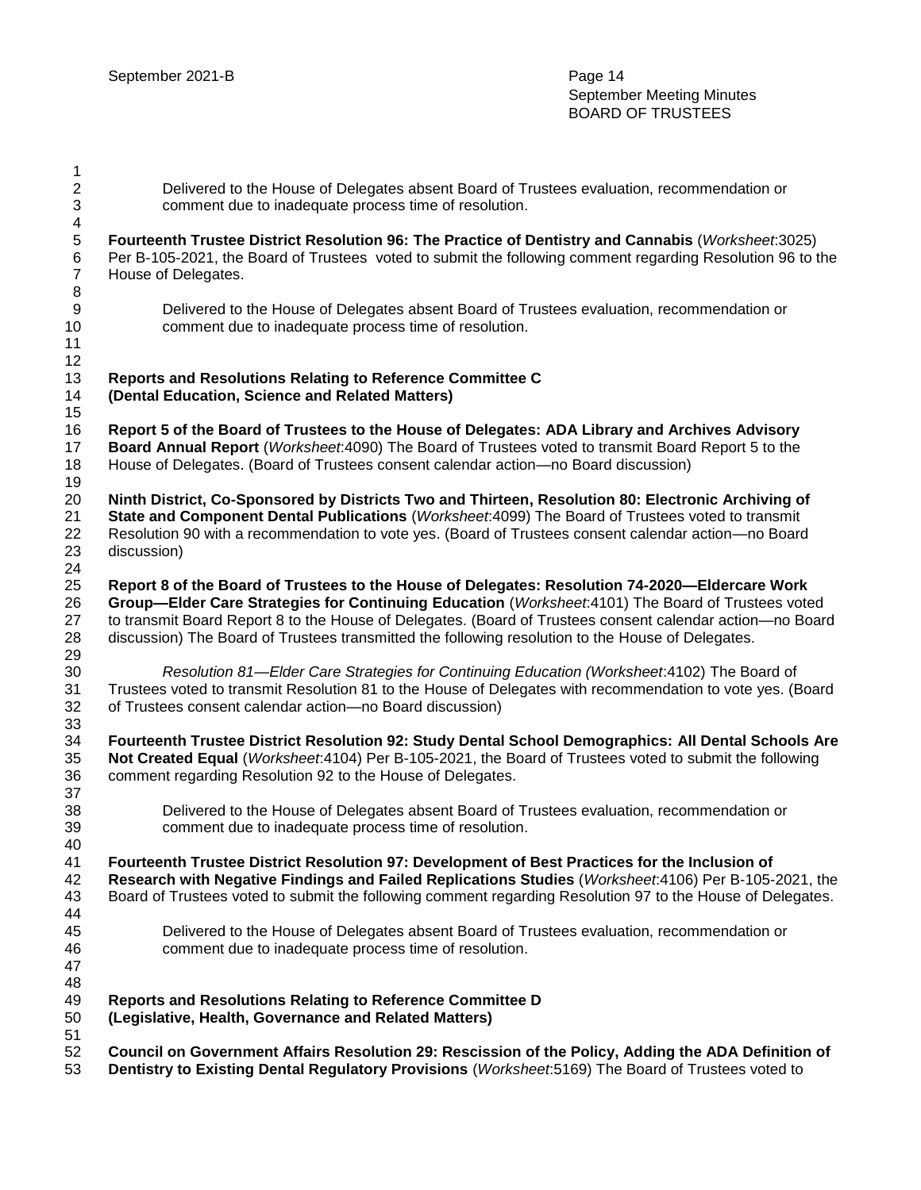| 1                             |                                                                                                                                                                                                                                                                                                                                                                                                                        |
|-------------------------------|------------------------------------------------------------------------------------------------------------------------------------------------------------------------------------------------------------------------------------------------------------------------------------------------------------------------------------------------------------------------------------------------------------------------|
| $\mathbf{2}$<br>3             | Delivered to the House of Delegates absent Board of Trustees evaluation, recommendation or<br>comment due to inadequate process time of resolution.                                                                                                                                                                                                                                                                    |
| 4<br>5<br>6<br>$\overline{7}$ | Fourteenth Trustee District Resolution 96: The Practice of Dentistry and Cannabis (Worksheet:3025)<br>Per B-105-2021, the Board of Trustees voted to submit the following comment regarding Resolution 96 to the<br>House of Delegates.                                                                                                                                                                                |
| 8<br>9<br>10<br>11<br>12      | Delivered to the House of Delegates absent Board of Trustees evaluation, recommendation or<br>comment due to inadequate process time of resolution.                                                                                                                                                                                                                                                                    |
| 13<br>14                      | Reports and Resolutions Relating to Reference Committee C<br>(Dental Education, Science and Related Matters)                                                                                                                                                                                                                                                                                                           |
| 15<br>16<br>17<br>18<br>19    | Report 5 of the Board of Trustees to the House of Delegates: ADA Library and Archives Advisory<br>Board Annual Report (Worksheet.4090) The Board of Trustees voted to transmit Board Report 5 to the<br>House of Delegates. (Board of Trustees consent calendar action-no Board discussion)                                                                                                                            |
| 20<br>21<br>22<br>23          | Ninth District, Co-Sponsored by Districts Two and Thirteen, Resolution 80: Electronic Archiving of<br>State and Component Dental Publications (Worksheet: 4099) The Board of Trustees voted to transmit<br>Resolution 90 with a recommendation to vote yes. (Board of Trustees consent calendar action-no Board<br>discussion)                                                                                         |
| 24<br>25<br>26<br>27<br>28    | Report 8 of the Board of Trustees to the House of Delegates: Resolution 74-2020-Eldercare Work<br>Group-Elder Care Strategies for Continuing Education (Worksheet: 4101) The Board of Trustees voted<br>to transmit Board Report 8 to the House of Delegates. (Board of Trustees consent calendar action-no Board<br>discussion) The Board of Trustees transmitted the following resolution to the House of Delegates. |
| 29<br>30<br>31<br>32          | Resolution 81—Elder Care Strategies for Continuing Education (Worksheet: 4102) The Board of<br>Trustees voted to transmit Resolution 81 to the House of Delegates with recommendation to vote yes. (Board<br>of Trustees consent calendar action-no Board discussion)                                                                                                                                                  |
| 33<br>34<br>35<br>36          | Fourteenth Trustee District Resolution 92: Study Dental School Demographics: All Dental Schools Are<br>Not Created Equal (Worksheet.4104) Per B-105-2021, the Board of Trustees voted to submit the following<br>comment regarding Resolution 92 to the House of Delegates.                                                                                                                                            |
| 37<br>38<br>39                | Delivered to the House of Delegates absent Board of Trustees evaluation, recommendation or<br>comment due to inadequate process time of resolution.                                                                                                                                                                                                                                                                    |
| 40<br>41<br>42<br>43          | Fourteenth Trustee District Resolution 97: Development of Best Practices for the Inclusion of<br>Research with Negative Findings and Failed Replications Studies (Worksheet.4106) Per B-105-2021, the<br>Board of Trustees voted to submit the following comment regarding Resolution 97 to the House of Delegates.                                                                                                    |
| 44<br>45<br>46<br>47          | Delivered to the House of Delegates absent Board of Trustees evaluation, recommendation or<br>comment due to inadequate process time of resolution.                                                                                                                                                                                                                                                                    |
| 48<br>49<br>50<br>51          | Reports and Resolutions Relating to Reference Committee D<br>(Legislative, Health, Governance and Related Matters)                                                                                                                                                                                                                                                                                                     |
| 52<br>53                      | Council on Government Affairs Resolution 29: Rescission of the Policy, Adding the ADA Definition of<br>Dentistry to Existing Dental Regulatory Provisions (Worksheet: 5169) The Board of Trustees voted to                                                                                                                                                                                                             |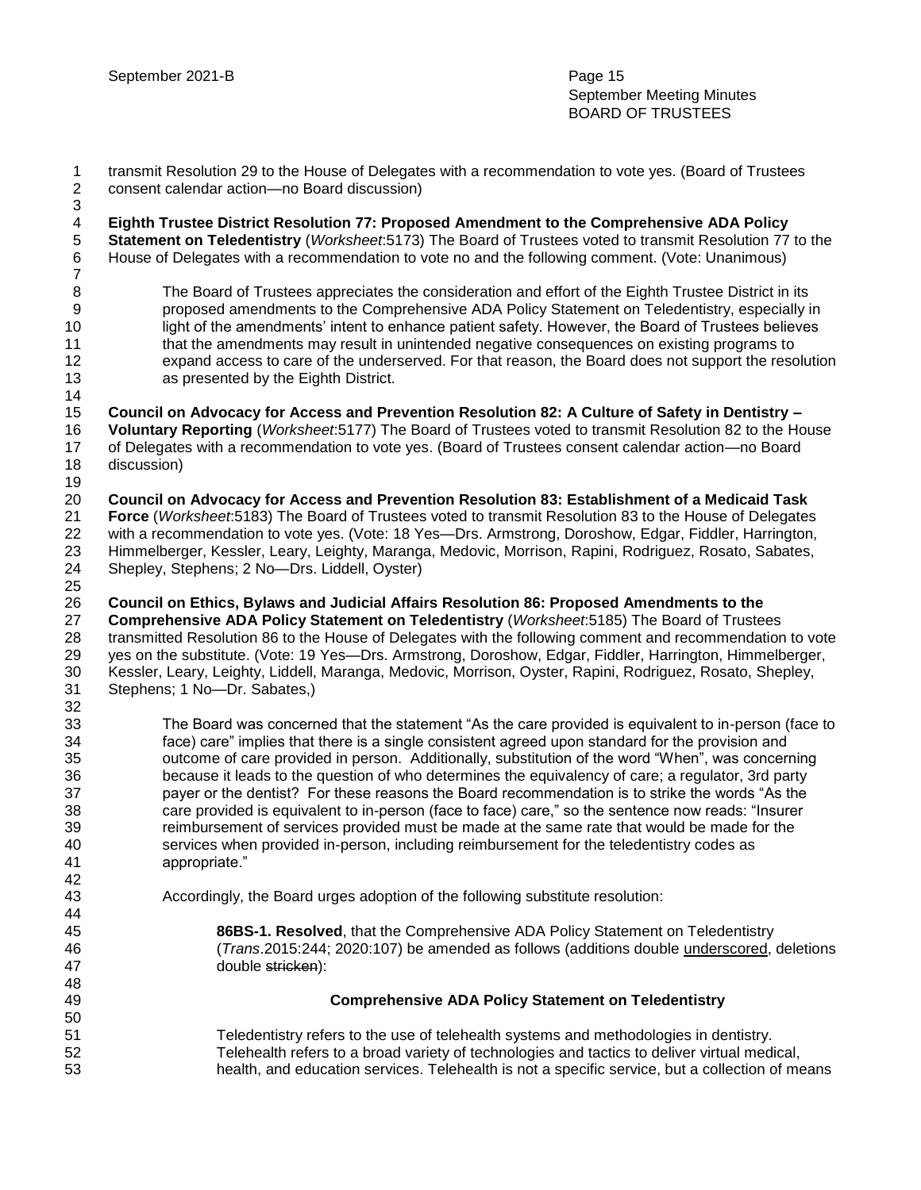| $\mathbf{1}$<br>$\overline{\mathbf{c}}$<br>$\ensuremath{\mathsf{3}}$ | transmit Resolution 29 to the House of Delegates with a recommendation to vote yes. (Board of Trustees<br>consent calendar action-no Board discussion)                                                                                                                                                                                                                                                                                                                                                                                                                                                                                                                                                                                                                                                                                   |
|----------------------------------------------------------------------|------------------------------------------------------------------------------------------------------------------------------------------------------------------------------------------------------------------------------------------------------------------------------------------------------------------------------------------------------------------------------------------------------------------------------------------------------------------------------------------------------------------------------------------------------------------------------------------------------------------------------------------------------------------------------------------------------------------------------------------------------------------------------------------------------------------------------------------|
| $\overline{\mathcal{A}}$<br>$\,$ 5 $\,$<br>$\,6$<br>$\overline{7}$   | Eighth Trustee District Resolution 77: Proposed Amendment to the Comprehensive ADA Policy<br>Statement on Teledentistry (Worksheet: 5173) The Board of Trustees voted to transmit Resolution 77 to the<br>House of Delegates with a recommendation to vote no and the following comment. (Vote: Unanimous)                                                                                                                                                                                                                                                                                                                                                                                                                                                                                                                               |
| 8<br>$\boldsymbol{9}$<br>10<br>11<br>12<br>13<br>14                  | The Board of Trustees appreciates the consideration and effort of the Eighth Trustee District in its<br>proposed amendments to the Comprehensive ADA Policy Statement on Teledentistry, especially in<br>light of the amendments' intent to enhance patient safety. However, the Board of Trustees believes<br>that the amendments may result in unintended negative consequences on existing programs to<br>expand access to care of the underserved. For that reason, the Board does not support the resolution<br>as presented by the Eighth District.                                                                                                                                                                                                                                                                                |
| 15<br>16<br>17<br>18<br>19                                           | Council on Advocacy for Access and Prevention Resolution 82: A Culture of Safety in Dentistry -<br>Voluntary Reporting (Worksheet:5177) The Board of Trustees voted to transmit Resolution 82 to the House<br>of Delegates with a recommendation to vote yes. (Board of Trustees consent calendar action-no Board<br>discussion)                                                                                                                                                                                                                                                                                                                                                                                                                                                                                                         |
| 20<br>21<br>22<br>23<br>24<br>25                                     | Council on Advocacy for Access and Prevention Resolution 83: Establishment of a Medicaid Task<br>Force (Worksheet:5183) The Board of Trustees voted to transmit Resolution 83 to the House of Delegates<br>with a recommendation to vote yes. (Vote: 18 Yes--Drs. Armstrong, Doroshow, Edgar, Fiddler, Harrington,<br>Himmelberger, Kessler, Leary, Leighty, Maranga, Medovic, Morrison, Rapini, Rodriguez, Rosato, Sabates,<br>Shepley, Stephens; 2 No-Drs. Liddell, Oyster)                                                                                                                                                                                                                                                                                                                                                            |
| 26<br>27<br>28<br>29<br>30<br>31<br>32                               | Council on Ethics, Bylaws and Judicial Affairs Resolution 86: Proposed Amendments to the<br>Comprehensive ADA Policy Statement on Teledentistry (Worksheet:5185) The Board of Trustees<br>transmitted Resolution 86 to the House of Delegates with the following comment and recommendation to vote<br>yes on the substitute. (Vote: 19 Yes—Drs. Armstrong, Doroshow, Edgar, Fiddler, Harrington, Himmelberger,<br>Kessler, Leary, Leighty, Liddell, Maranga, Medovic, Morrison, Oyster, Rapini, Rodriguez, Rosato, Shepley,<br>Stephens; 1 No-Dr. Sabates,)                                                                                                                                                                                                                                                                             |
| 33<br>34<br>35<br>36<br>37<br>38<br>39<br>40<br>41<br>42             | The Board was concerned that the statement "As the care provided is equivalent to in-person (face to<br>face) care" implies that there is a single consistent agreed upon standard for the provision and<br>outcome of care provided in person. Additionally, substitution of the word "When", was concerning<br>because it leads to the question of who determines the equivalency of care; a regulator, 3rd party<br>payer or the dentist? For these reasons the Board recommendation is to strike the words "As the<br>care provided is equivalent to in-person (face to face) care," so the sentence now reads: "Insurer<br>reimbursement of services provided must be made at the same rate that would be made for the<br>services when provided in-person, including reimbursement for the teledentistry codes as<br>appropriate." |
| 43<br>44<br>45                                                       | Accordingly, the Board urges adoption of the following substitute resolution:<br>86BS-1. Resolved, that the Comprehensive ADA Policy Statement on Teledentistry                                                                                                                                                                                                                                                                                                                                                                                                                                                                                                                                                                                                                                                                          |
| 46<br>47<br>48                                                       | (Trans.2015:244; 2020:107) be amended as follows (additions double underscored, deletions<br>double stricken):                                                                                                                                                                                                                                                                                                                                                                                                                                                                                                                                                                                                                                                                                                                           |
| 49<br>50                                                             | <b>Comprehensive ADA Policy Statement on Teledentistry</b>                                                                                                                                                                                                                                                                                                                                                                                                                                                                                                                                                                                                                                                                                                                                                                               |
| 51<br>52<br>53                                                       | Teledentistry refers to the use of telehealth systems and methodologies in dentistry.<br>Telehealth refers to a broad variety of technologies and tactics to deliver virtual medical,<br>health, and education services. Telehealth is not a specific service, but a collection of means                                                                                                                                                                                                                                                                                                                                                                                                                                                                                                                                                 |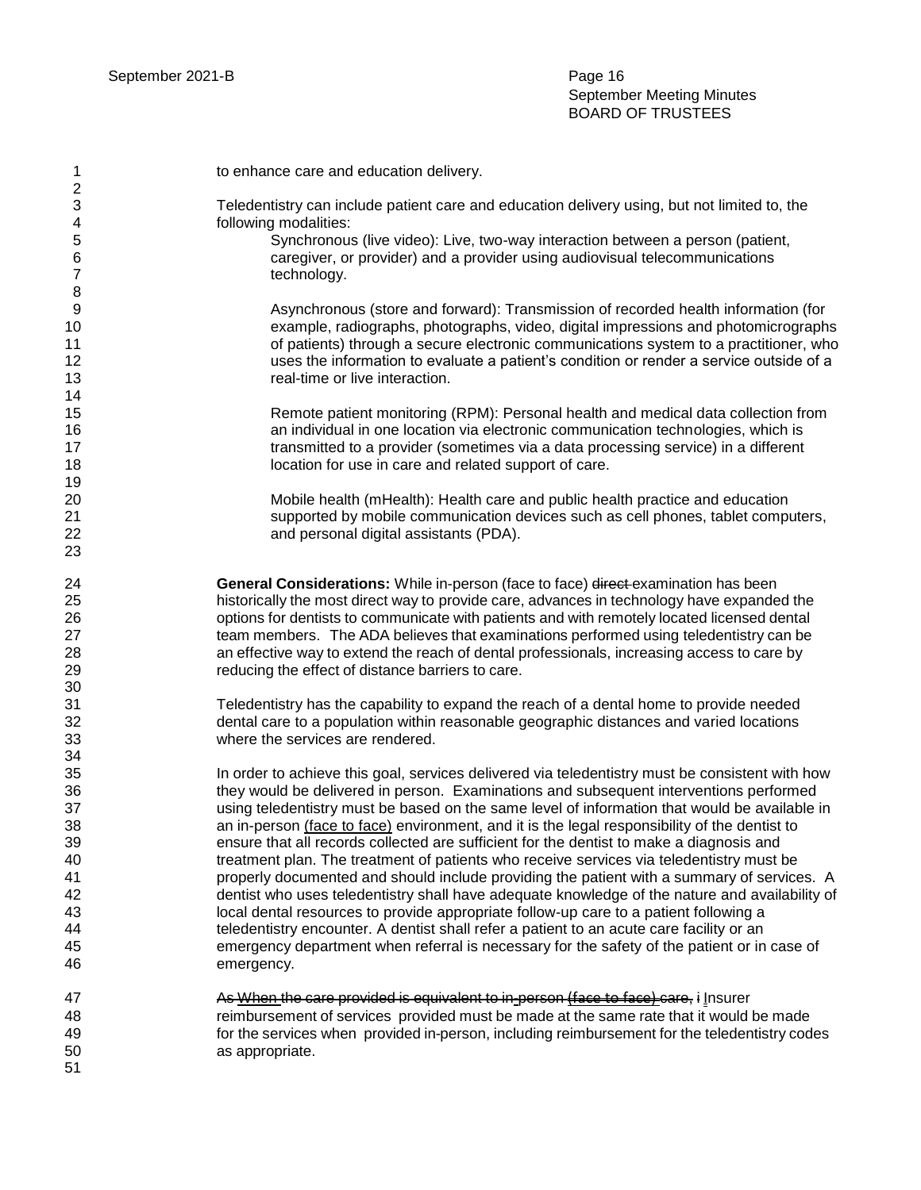| 1                                                                    | to enhance care and education delivery.                                                                                                                                                                                                                                                                                                                                                                                                                                                                                                                                                                                                                                                                                                                                                                                                                                                                                                                                                                                                                                               |
|----------------------------------------------------------------------|---------------------------------------------------------------------------------------------------------------------------------------------------------------------------------------------------------------------------------------------------------------------------------------------------------------------------------------------------------------------------------------------------------------------------------------------------------------------------------------------------------------------------------------------------------------------------------------------------------------------------------------------------------------------------------------------------------------------------------------------------------------------------------------------------------------------------------------------------------------------------------------------------------------------------------------------------------------------------------------------------------------------------------------------------------------------------------------|
| 2<br>3<br>4<br>5<br>6<br>7<br>8                                      | Teledentistry can include patient care and education delivery using, but not limited to, the<br>following modalities:<br>Synchronous (live video): Live, two-way interaction between a person (patient,<br>caregiver, or provider) and a provider using audiovisual telecommunications<br>technology.                                                                                                                                                                                                                                                                                                                                                                                                                                                                                                                                                                                                                                                                                                                                                                                 |
| 9<br>10<br>11<br>12<br>13<br>14                                      | Asynchronous (store and forward): Transmission of recorded health information (for<br>example, radiographs, photographs, video, digital impressions and photomicrographs<br>of patients) through a secure electronic communications system to a practitioner, who<br>uses the information to evaluate a patient's condition or render a service outside of a<br>real-time or live interaction.                                                                                                                                                                                                                                                                                                                                                                                                                                                                                                                                                                                                                                                                                        |
| 15<br>16<br>17<br>18<br>19                                           | Remote patient monitoring (RPM): Personal health and medical data collection from<br>an individual in one location via electronic communication technologies, which is<br>transmitted to a provider (sometimes via a data processing service) in a different<br>location for use in care and related support of care.                                                                                                                                                                                                                                                                                                                                                                                                                                                                                                                                                                                                                                                                                                                                                                 |
| 20<br>21<br>22<br>23                                                 | Mobile health (mHealth): Health care and public health practice and education<br>supported by mobile communication devices such as cell phones, tablet computers,<br>and personal digital assistants (PDA).                                                                                                                                                                                                                                                                                                                                                                                                                                                                                                                                                                                                                                                                                                                                                                                                                                                                           |
| 24<br>25<br>26<br>27<br>28<br>29<br>30                               | General Considerations: While in-person (face to face) direct examination has been<br>historically the most direct way to provide care, advances in technology have expanded the<br>options for dentists to communicate with patients and with remotely located licensed dental<br>team members. The ADA believes that examinations performed using teledentistry can be<br>an effective way to extend the reach of dental professionals, increasing access to care by<br>reducing the effect of distance barriers to care.                                                                                                                                                                                                                                                                                                                                                                                                                                                                                                                                                           |
| 31<br>32<br>33<br>34                                                 | Teledentistry has the capability to expand the reach of a dental home to provide needed<br>dental care to a population within reasonable geographic distances and varied locations<br>where the services are rendered.                                                                                                                                                                                                                                                                                                                                                                                                                                                                                                                                                                                                                                                                                                                                                                                                                                                                |
| 35<br>36<br>37<br>38<br>39<br>40<br>41<br>42<br>43<br>44<br>45<br>46 | In order to achieve this goal, services delivered via teledentistry must be consistent with how<br>they would be delivered in person. Examinations and subsequent interventions performed<br>using teledentistry must be based on the same level of information that would be available in<br>an in-person (face to face) environment, and it is the legal responsibility of the dentist to<br>ensure that all records collected are sufficient for the dentist to make a diagnosis and<br>treatment plan. The treatment of patients who receive services via teledentistry must be<br>properly documented and should include providing the patient with a summary of services. A<br>dentist who uses teledentistry shall have adequate knowledge of the nature and availability of<br>local dental resources to provide appropriate follow-up care to a patient following a<br>teledentistry encounter. A dentist shall refer a patient to an acute care facility or an<br>emergency department when referral is necessary for the safety of the patient or in case of<br>emergency. |
| 47<br>48<br>49<br>50<br>51                                           | As When the care previded is equivalent to in-person (face to face) care, i Insurer<br>reimbursement of services provided must be made at the same rate that it would be made<br>for the services when provided in-person, including reimbursement for the teledentistry codes<br>as appropriate.                                                                                                                                                                                                                                                                                                                                                                                                                                                                                                                                                                                                                                                                                                                                                                                     |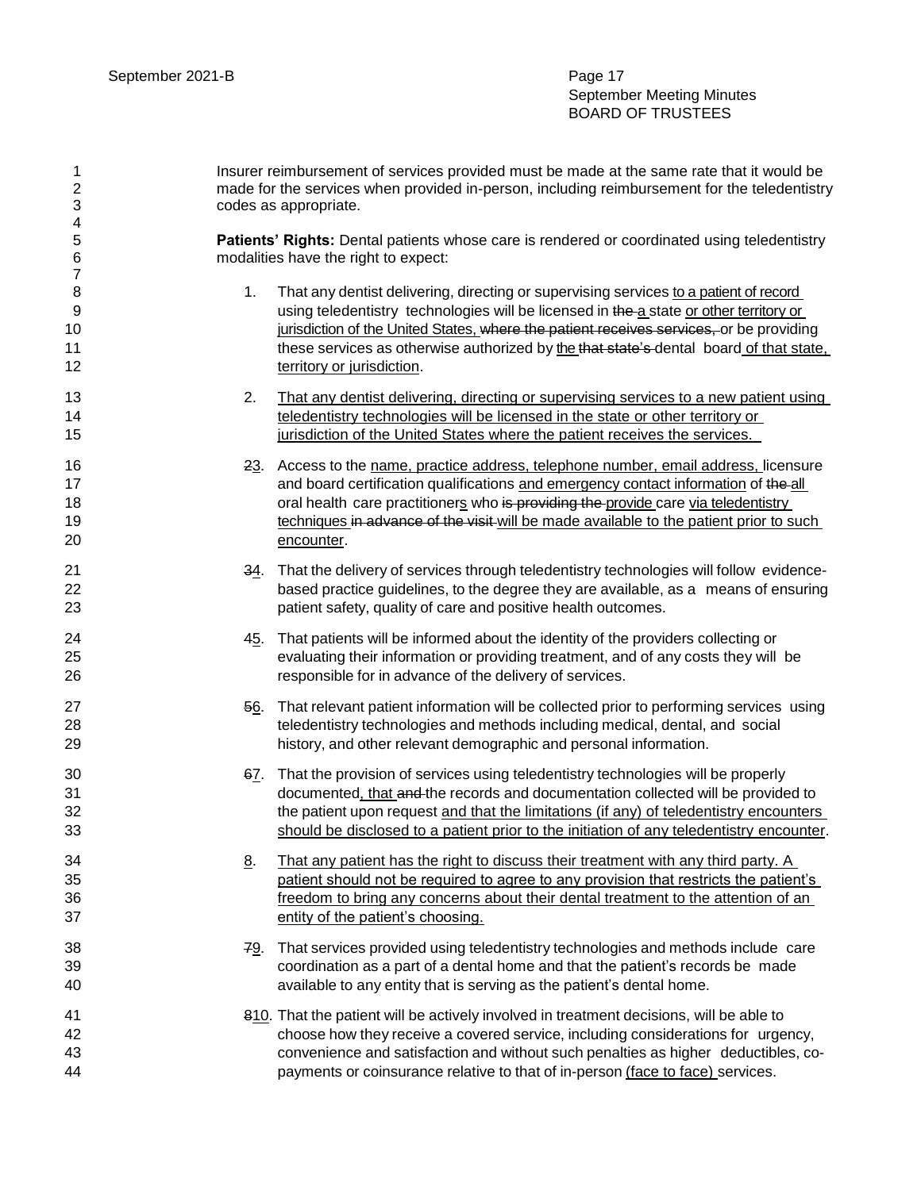| 1<br>$\boldsymbol{2}$<br>3 | Insurer reimbursement of services provided must be made at the same rate that it would be<br>made for the services when provided in-person, including reimbursement for the teledentistry<br>codes as appropriate. |                                                                                                                                                                                                                                                                                                                                                                                                    |  |
|----------------------------|--------------------------------------------------------------------------------------------------------------------------------------------------------------------------------------------------------------------|----------------------------------------------------------------------------------------------------------------------------------------------------------------------------------------------------------------------------------------------------------------------------------------------------------------------------------------------------------------------------------------------------|--|
| 4<br>5<br>6<br>7           |                                                                                                                                                                                                                    | Patients' Rights: Dental patients whose care is rendered or coordinated using teledentistry<br>modalities have the right to expect:                                                                                                                                                                                                                                                                |  |
| 8<br>9<br>10<br>11<br>12   | 1.                                                                                                                                                                                                                 | That any dentist delivering, directing or supervising services to a patient of record<br>using teledentistry technologies will be licensed in the a state or other territory or<br>jurisdiction of the United States, where the patient receives services, or be providing<br>these services as otherwise authorized by the that state's dental board of that state,<br>territory or jurisdiction. |  |
| 13<br>14<br>15             | 2.                                                                                                                                                                                                                 | That any dentist delivering, directing or supervising services to a new patient using<br>teledentistry technologies will be licensed in the state or other territory or<br>jurisdiction of the United States where the patient receives the services.                                                                                                                                              |  |
| 16<br>17<br>18<br>19<br>20 |                                                                                                                                                                                                                    | 23. Access to the name, practice address, telephone number, email address, licensure<br>and board certification qualifications and emergency contact information of the all<br>oral health care practitioners who is providing the provide care via teledentistry<br>techniques in advance of the visit will be made available to the patient prior to such<br>encounter.                          |  |
| 21<br>22<br>23             | 34.                                                                                                                                                                                                                | That the delivery of services through teledentistry technologies will follow evidence-<br>based practice guidelines, to the degree they are available, as a means of ensuring<br>patient safety, quality of care and positive health outcomes.                                                                                                                                                     |  |
| 24<br>25<br>26             | 45.                                                                                                                                                                                                                | That patients will be informed about the identity of the providers collecting or<br>evaluating their information or providing treatment, and of any costs they will be<br>responsible for in advance of the delivery of services.                                                                                                                                                                  |  |
| 27<br>28<br>29             | 56.                                                                                                                                                                                                                | That relevant patient information will be collected prior to performing services using<br>teledentistry technologies and methods including medical, dental, and social<br>history, and other relevant demographic and personal information.                                                                                                                                                        |  |
| 30<br>31<br>32<br>33       |                                                                                                                                                                                                                    | 67. That the provision of services using teledentistry technologies will be properly<br>documented, that and the records and documentation collected will be provided to<br>the patient upon request and that the limitations (if any) of teledentistry encounters<br>should be disclosed to a patient prior to the initiation of any teledentistry encounter.                                     |  |
| 34<br>35<br>36<br>37       | <u>8</u> .                                                                                                                                                                                                         | That any patient has the right to discuss their treatment with any third party. A<br>patient should not be required to agree to any provision that restricts the patient's<br>freedom to bring any concerns about their dental treatment to the attention of an<br>entity of the patient's choosing.                                                                                               |  |
| 38<br>39<br>40             |                                                                                                                                                                                                                    | 79. That services provided using teledentistry technologies and methods include care<br>coordination as a part of a dental home and that the patient's records be made<br>available to any entity that is serving as the patient's dental home.                                                                                                                                                    |  |
| 41<br>42<br>43<br>44       |                                                                                                                                                                                                                    | 810. That the patient will be actively involved in treatment decisions, will be able to<br>choose how they receive a covered service, including considerations for urgency,<br>convenience and satisfaction and without such penalties as higher deductibles, co-<br>payments or coinsurance relative to that of in-person (face to face) services.                                                |  |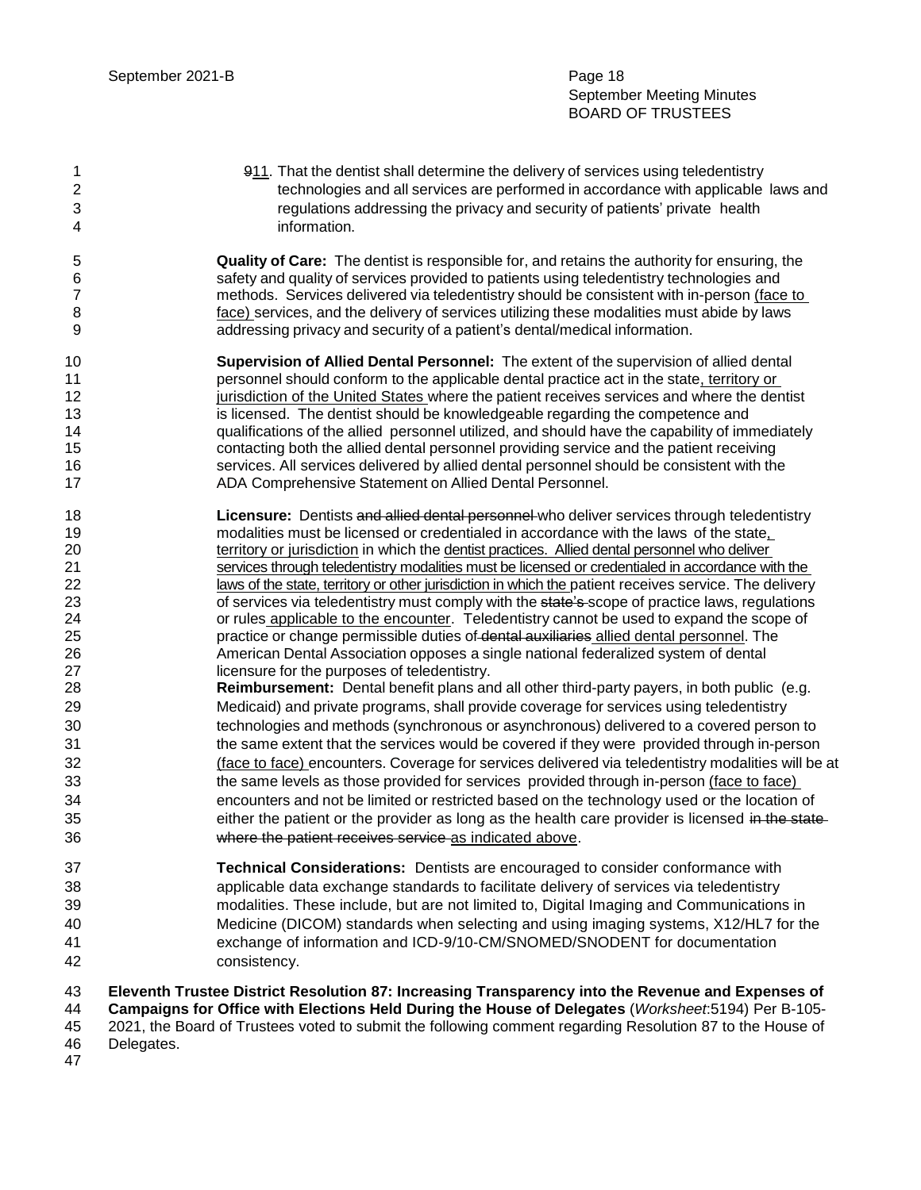1 911. That the dentist shall determine the delivery of services using teledentistry technologies and all services are performed in accordance with applicable laws and regulations addressing the privacy and security of patients' private health information.

 **Quality of Care:** The dentist is responsible for, and retains the authority for ensuring, the safety and quality of services provided to patients using teledentistry technologies and methods. Services delivered via teledentistry should be consistent with in-person (face to face) services, and the delivery of services utilizing these modalities must abide by laws addressing privacy and security of a patient's dental/medical information.

- **Supervision of Allied Dental Personnel:** The extent of the supervision of allied dental **personnel should conform to the applicable dental practice act in the state, territory or indicate in importance is the United States where the patient receives services and where the dentist is licensed.** The dentist should be knowledgeable regarding the competence and qualifications of the allied personnel utilized, and should have the capability of immediately contacting both the allied dental personnel providing service and the patient receiving services. All services delivered by allied dental personnel should be consistent with the ADA Comprehensive Statement on Allied Dental Personnel.
- **Licensure:** Dentists and allied dental personnel who deliver services through teledentistry modalities must be licensed or credentialed in accordance with the laws of the state, territory or jurisdiction in which the dentist practices. Allied dental personnel who deliver services through teledentistry modalities must be licensed or credentialed in accordance with the 22 laws of the state, territory or other jurisdiction in which the patient receives service. The delivery 23 of services via teledentistry must comply with the state's scope of practice laws, regulations 24 or rules applicable to the encounter. Teledentistry cannot be used to expand the scope of **practice or change permissible duties of dental auxiliaries allied dental personnel. The**  American Dental Association opposes a single national federalized system of dental licensure for the purposes of teledentistry.
- **Reimbursement:** Dental benefit plans and all other third-party payers, in both public (e.g. Medicaid) and private programs, shall provide coverage for services using teledentistry technologies and methods (synchronous or asynchronous) delivered to a covered person to the same extent that the services would be covered if they were provided through in-person (face to face) encounters. Coverage for services delivered via teledentistry modalities will be at 33 the same levels as those provided for services provided through in-person (face to face) encounters and not be limited or restricted based on the technology used or the location of 35 either the patient or the provider as long as the health care provider is licensed in the state-where the patient receives service as indicated above.
- **Technical Considerations:** Dentists are encouraged to consider conformance with applicable data exchange standards to facilitate delivery of services via teledentistry modalities. These include, but are not limited to, Digital Imaging and Communications in Medicine (DICOM) standards when selecting and using imaging systems, X12/HL7 for the exchange of information and ICD-9/10-CM/SNOMED/SNODENT for documentation consistency.

**Eleventh Trustee District Resolution 87: Increasing Transparency into the Revenue and Expenses of** 

**Campaigns for Office with Elections Held During the House of Delegates** (*Worksheet*:5194) Per B-105-

 2021, the Board of Trustees voted to submit the following comment regarding Resolution 87 to the House of Delegates.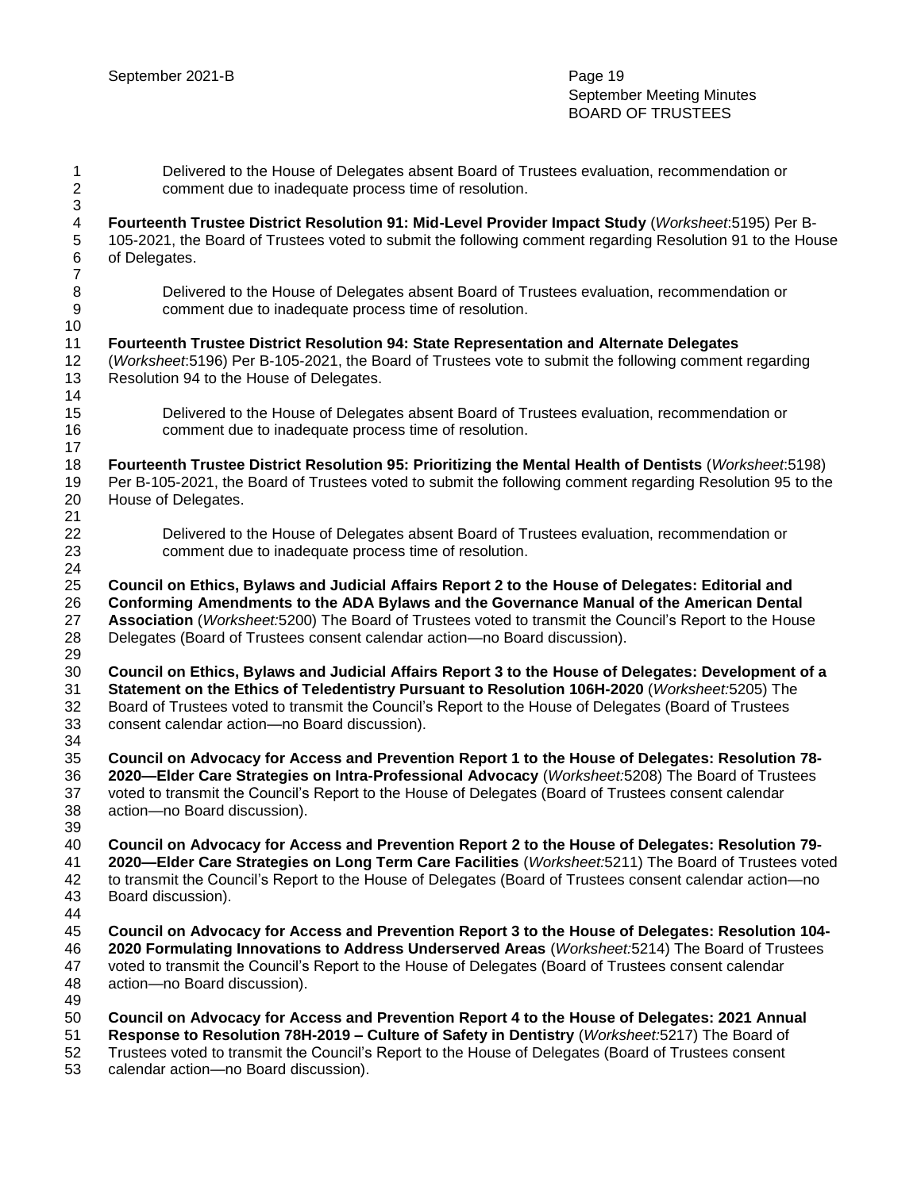| $\mathbf{1}$<br>$\boldsymbol{2}$ | Delivered to the House of Delegates absent Board of Trustees evaluation, recommendation or<br>comment due to inadequate process time of resolution.                                                                                                                                                                                                                                  |
|----------------------------------|--------------------------------------------------------------------------------------------------------------------------------------------------------------------------------------------------------------------------------------------------------------------------------------------------------------------------------------------------------------------------------------|
| 3<br>4<br>5                      | Fourteenth Trustee District Resolution 91: Mid-Level Provider Impact Study (Worksheet:5195) Per B-<br>105-2021, the Board of Trustees voted to submit the following comment regarding Resolution 91 to the House                                                                                                                                                                     |
| 6<br>$\overline{7}$              | of Delegates.                                                                                                                                                                                                                                                                                                                                                                        |
| 8<br>$\boldsymbol{9}$            | Delivered to the House of Delegates absent Board of Trustees evaluation, recommendation or<br>comment due to inadequate process time of resolution.                                                                                                                                                                                                                                  |
| 10                               |                                                                                                                                                                                                                                                                                                                                                                                      |
| 11                               | Fourteenth Trustee District Resolution 94: State Representation and Alternate Delegates                                                                                                                                                                                                                                                                                              |
| 12<br>13<br>14                   | (Worksheet:5196) Per B-105-2021, the Board of Trustees vote to submit the following comment regarding<br>Resolution 94 to the House of Delegates.                                                                                                                                                                                                                                    |
| 15<br>16                         | Delivered to the House of Delegates absent Board of Trustees evaluation, recommendation or<br>comment due to inadequate process time of resolution.                                                                                                                                                                                                                                  |
| 17<br>18<br>19                   | Fourteenth Trustee District Resolution 95: Prioritizing the Mental Health of Dentists (Worksheet:5198)<br>Per B-105-2021, the Board of Trustees voted to submit the following comment regarding Resolution 95 to the                                                                                                                                                                 |
| 20<br>21                         | House of Delegates.                                                                                                                                                                                                                                                                                                                                                                  |
| 22                               | Delivered to the House of Delegates absent Board of Trustees evaluation, recommendation or                                                                                                                                                                                                                                                                                           |
| 23<br>24                         | comment due to inadequate process time of resolution.                                                                                                                                                                                                                                                                                                                                |
| 25<br>26<br>27<br>28<br>29       | Council on Ethics, Bylaws and Judicial Affairs Report 2 to the House of Delegates: Editorial and<br>Conforming Amendments to the ADA Bylaws and the Governance Manual of the American Dental<br>Association (Worksheet:5200) The Board of Trustees voted to transmit the Council's Report to the House<br>Delegates (Board of Trustees consent calendar action-no Board discussion). |
| 30<br>31<br>32<br>33<br>34       | Council on Ethics, Bylaws and Judicial Affairs Report 3 to the House of Delegates: Development of a<br>Statement on the Ethics of Teledentistry Pursuant to Resolution 106H-2020 (Worksheet:5205) The<br>Board of Trustees voted to transmit the Council's Report to the House of Delegates (Board of Trustees<br>consent calendar action-no Board discussion).                      |
| 35<br>36<br>37<br>38<br>39       | Council on Advocacy for Access and Prevention Report 1 to the House of Delegates: Resolution 78-<br>2020-Elder Care Strategies on Intra-Professional Advocacy (Worksheet:5208) The Board of Trustees<br>voted to transmit the Council's Report to the House of Delegates (Board of Trustees consent calendar<br>action-no Board discussion).                                         |
| 40<br>41<br>42<br>43             | Council on Advocacy for Access and Prevention Report 2 to the House of Delegates: Resolution 79-<br>2020-Elder Care Strategies on Long Term Care Facilities (Worksheet:5211) The Board of Trustees voted<br>to transmit the Council's Report to the House of Delegates (Board of Trustees consent calendar action-no<br>Board discussion).                                           |
| 44<br>45<br>46<br>47<br>48<br>49 | Council on Advocacy for Access and Prevention Report 3 to the House of Delegates: Resolution 104-<br>2020 Formulating Innovations to Address Underserved Areas (Worksheet:5214) The Board of Trustees<br>voted to transmit the Council's Report to the House of Delegates (Board of Trustees consent calendar<br>action-no Board discussion).                                        |
| 50<br>51<br>52                   | Council on Advocacy for Access and Prevention Report 4 to the House of Delegates: 2021 Annual<br>Response to Resolution 78H-2019 - Culture of Safety in Dentistry (Worksheet:5217) The Board of<br>Trustees voted to transmit the Council's Report to the House of Delegates (Board of Trustees consent                                                                              |

calendar action—no Board discussion).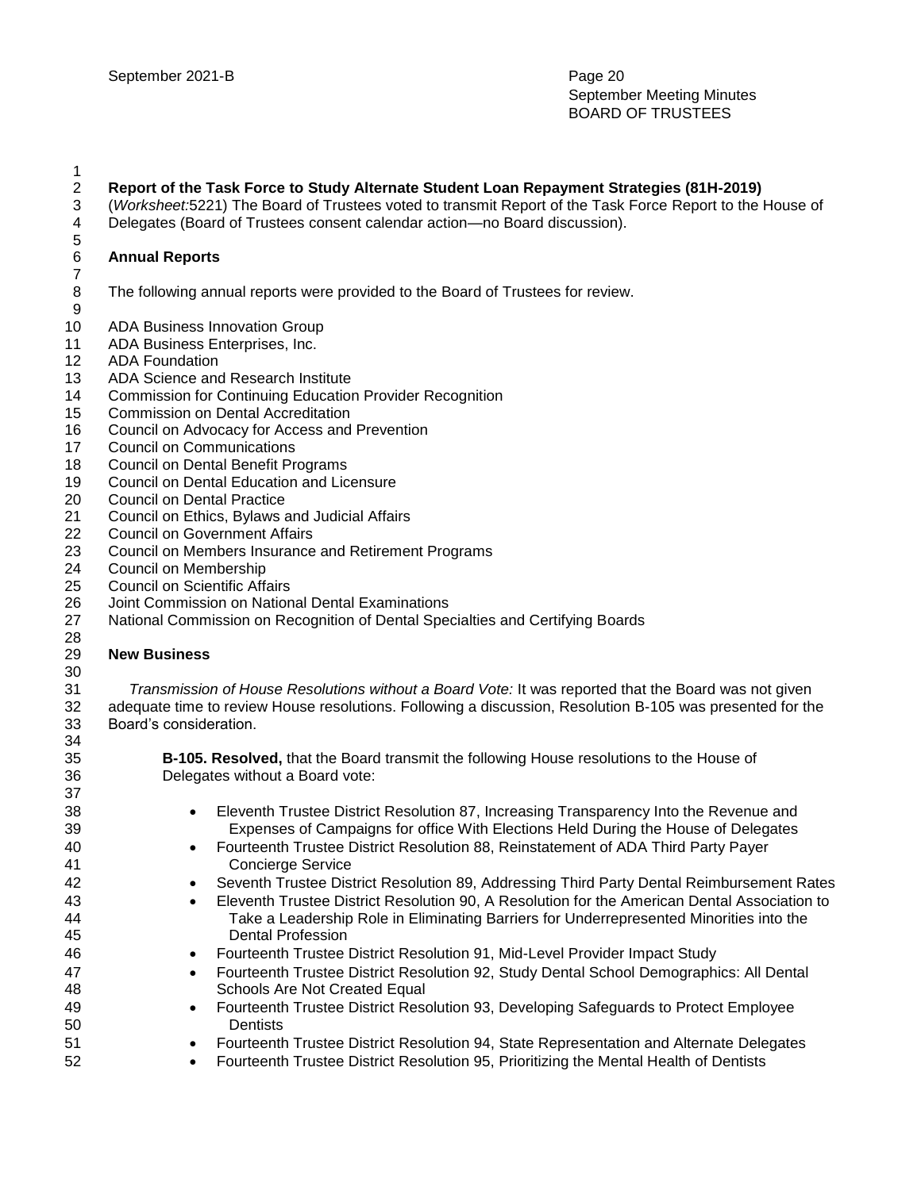### **Report of the Task Force to Study Alternate Student Loan Repayment Strategies (81H-2019)**

- (*Worksheet:*5221) The Board of Trustees voted to transmit Report of the Task Force Report to the House of
- Delegates (Board of Trustees consent calendar action—no Board discussion).

### **Annual Reports**

- The following annual reports were provided to the Board of Trustees for review.
- ADA Business Innovation Group
- ADA Business Enterprises, Inc.
- ADA Foundation
- ADA Science and Research Institute
- Commission for Continuing Education Provider Recognition
- Commission on Dental Accreditation
- Council on Advocacy for Access and Prevention
- Council on Communications
- Council on Dental Benefit Programs
- Council on Dental Education and Licensure
- Council on Dental Practice
- Council on Ethics, Bylaws and Judicial Affairs
- Council on Government Affairs
- Council on Members Insurance and Retirement Programs
- Council on Membership
- Council on Scientific Affairs
- Joint Commission on National Dental Examinations
- National Commission on Recognition of Dental Specialties and Certifying Boards
- 

#### **New Business**

*Transmission of House Resolutions without a Board Vote:* It was reported that the Board was not given adequate time to review House resolutions. Following a discussion, Resolution B-105 was presented for the Board's consideration.

 **B-105. Resolved,** that the Board transmit the following House resolutions to the House of Delegates without a Board vote:

- Eleventh Trustee District Resolution 87, Increasing Transparency Into the Revenue and 39 Expenses of Campaigns for office With Elections Held During the House of Delegates Fourteenth Trustee District Resolution 88, Reinstatement of ADA Third Party Payer 41 Concierge Service **Seventh Trustee District Resolution 89, Addressing Third Party Dental Reimbursement Rates**
- Eleventh Trustee District Resolution 90, A Resolution for the American Dental Association to 44 Take a Leadership Role in Eliminating Barriers for Underrepresented Minorities into the 45 Dental Profession
- Fourteenth Trustee District Resolution 91, Mid-Level Provider Impact Study
- **Fourteenth Trustee District Resolution 92, Study Dental School Demographics: All Dental 601** Schools Are Not Created Equal
- Fourteenth Trustee District Resolution 93, Developing Safeguards to Protect Employee 50 Dentists
- Fourteenth Trustee District Resolution 94, State Representation and Alternate Delegates
- Fourteenth Trustee District Resolution 95, Prioritizing the Mental Health of Dentists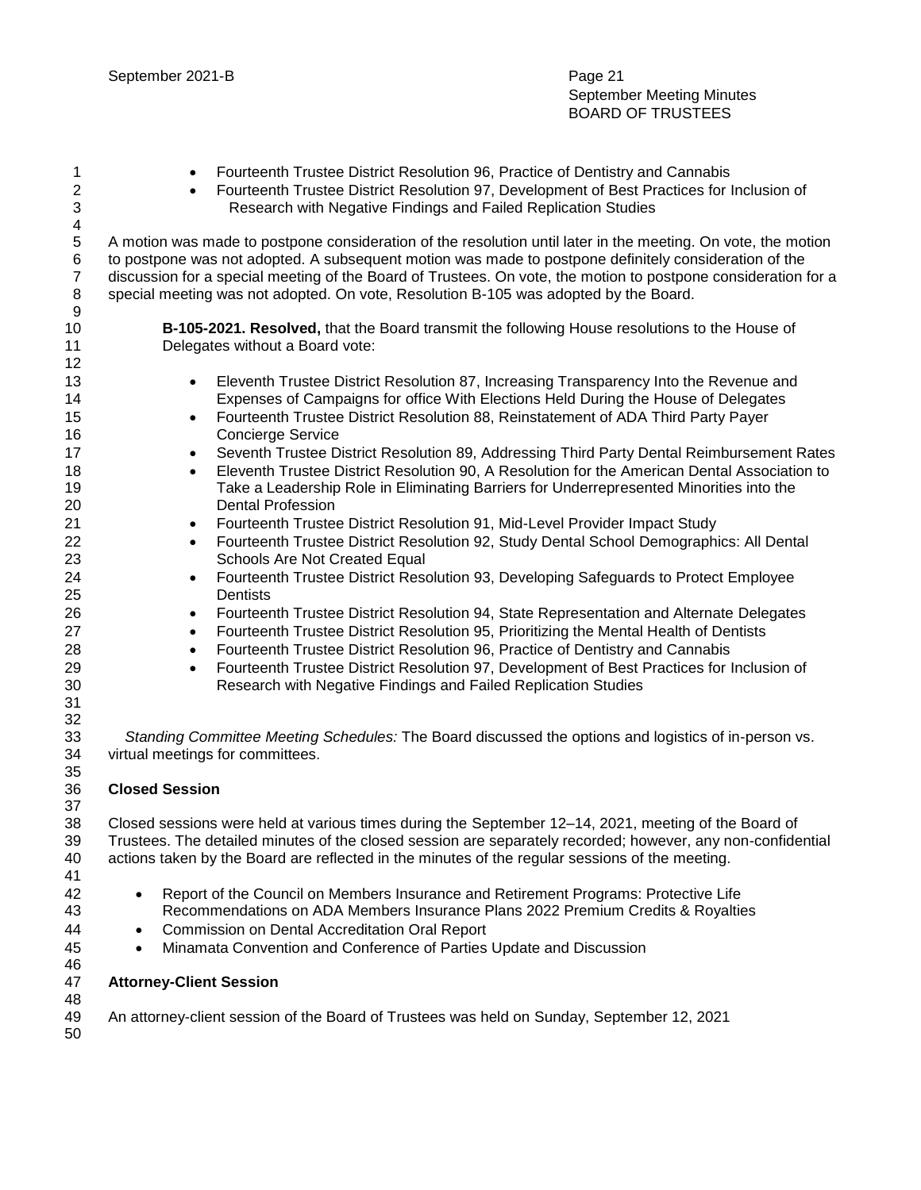- 1 Fourteenth Trustee District Resolution 96, Practice of Dentistry and Cannabis Fourteenth Trustee District Resolution 97, Development of Best Practices for Inclusion of 3 Research with Negative Findings and Failed Replication Studies A motion was made to postpone consideration of the resolution until later in the meeting. On vote, the motion to postpone was not adopted. A subsequent motion was made to postpone definitely consideration of the discussion for a special meeting of the Board of Trustees. On vote, the motion to postpone consideration for a special meeting was not adopted. On vote, Resolution B-105 was adopted by the Board. **B-105-2021. Resolved,** that the Board transmit the following House resolutions to the House of Delegates without a Board vote: **Eleventh Trustee District Resolution 87, Increasing Transparency Into the Revenue and**  Expenses of Campaigns for office With Elections Held During the House of Delegates **Fourteenth Trustee District Resolution 88, Reinstatement of ADA Third Party Payer**  Concierge Service **Seventh Trustee District Resolution 89, Addressing Third Party Dental Reimbursement Rates Eleventh Trustee District Resolution 90, A Resolution for the American Dental Association to**  Take a Leadership Role in Eliminating Barriers for Underrepresented Minorities into the Dental Profession **Fourteenth Trustee District Resolution 91, Mid-Level Provider Impact Study Fourteenth Trustee District Resolution 92, Study Dental School Demographics: All Dental Capacity**  Schools Are Not Created Equal Fourteenth Trustee District Resolution 93, Developing Safeguards to Protect Employee Dentists Fourteenth Trustee District Resolution 94, State Representation and Alternate Delegates **Fourteenth Trustee District Resolution 95, Prioritizing the Mental Health of Dentists**  Fourteenth Trustee District Resolution 96, Practice of Dentistry and Cannabis Fourteenth Trustee District Resolution 97, Development of Best Practices for Inclusion of Research with Negative Findings and Failed Replication Studies *Standing Committee Meeting Schedules:* The Board discussed the options and logistics of in-person vs. virtual meetings for committees. **Closed Session** Closed sessions were held at various times during the September 12–14, 2021, meeting of the Board of Trustees. The detailed minutes of the closed session are separately recorded; however, any non-confidential actions taken by the Board are reflected in the minutes of the regular sessions of the meeting. Report of the Council on Members Insurance and Retirement Programs: Protective Life Recommendations on ADA Members Insurance Plans 2022 Premium Credits & Royalties Commission on Dental Accreditation Oral Report Minamata Convention and Conference of Parties Update and Discussion
- **Attorney-Client Session**

An attorney-client session of the Board of Trustees was held on Sunday, September 12, 2021